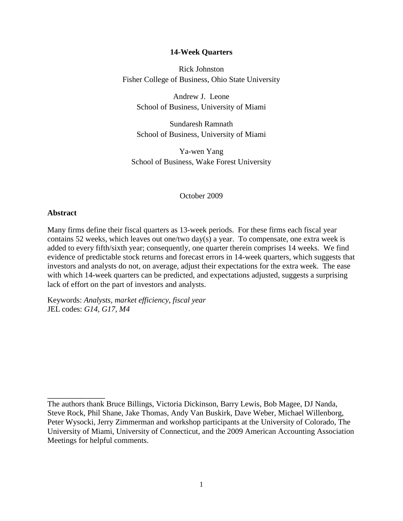## **14-Week Quarters**

Rick Johnston Fisher College of Business, Ohio State University

Andrew J. Leone School of Business, University of Miami

Sundaresh Ramnath School of Business, University of Miami

Ya-wen Yang School of Business, Wake Forest University

October 2009

## **Abstract**

\_\_\_\_\_\_\_\_\_\_\_\_\_\_\_\_

Many firms define their fiscal quarters as 13-week periods. For these firms each fiscal year contains 52 weeks, which leaves out one/two day(s) a year. To compensate, one extra week is added to every fifth/sixth year; consequently, one quarter therein comprises 14 weeks. We find evidence of predictable stock returns and forecast errors in 14-week quarters, which suggests that investors and analysts do not, on average, adjust their expectations for the extra week. The ease with which 14-week quarters can be predicted, and expectations adjusted, suggests a surprising lack of effort on the part of investors and analysts.

Keywords: *Analysts, market efficiency, fiscal year* JEL codes: *G14, G17, M4*

The authors thank Bruce Billings, Victoria Dickinson, Barry Lewis, Bob Magee, DJ Nanda, Steve Rock, Phil Shane, Jake Thomas, Andy Van Buskirk, Dave Weber, Michael Willenborg, Peter Wysocki, Jerry Zimmerman and workshop participants at the University of Colorado, The University of Miami, University of Connecticut, and the 2009 American Accounting Association Meetings for helpful comments.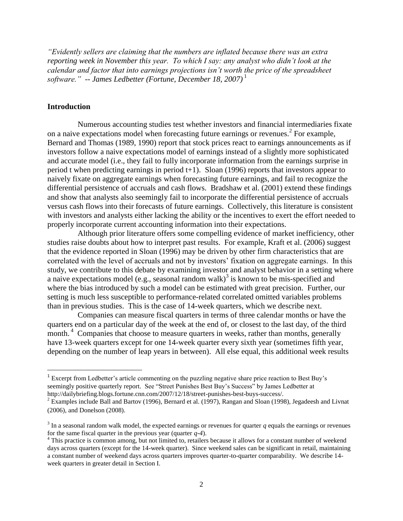*"Evidently sellers are claiming that the numbers are inflated because there was an extra reporting week in November this year. To which I say: any analyst who didn't look at the calendar and factor that into earnings projections isn't worth the price of the spreadsheet software." -- James Ledbetter (Fortune, December 18, 2007)* 1

## **Introduction**

l

Numerous accounting studies test whether investors and financial intermediaries fixate on a naive expectations model when forecasting future earnings or revenues.<sup>2</sup> For example, [Bernard and Thomas \(1989, 1990\)](http://www.sciencedirect.com/science?_ob=MiamiImageURL&_imagekey=B6V87-458WKVH-X-1&_cdi=5863&_user=687815&_check=y&_orig=search&_coverDate=12%2F31%2F1990&view=c&wchp=dGLbVzW-zSkWb&md5=a8bf78aaf5a49b83ae3564e04ca79556&ie=/sdarticle.pdf) report that stock prices react to earnings announcements as if investors follow a naive expectations model of earnings instead of a slightly more sophisticated and accurate model (i.e., they fail to fully incorporate information from the earnings surprise in period t when predicting earnings in period t+1). Sloan (1996) reports that investors appear to naively fixate on aggregate earnings when forecasting future earnings, and fail to recognize the differential persistence of accruals and cash flows. Bradshaw et al. (2001) extend these findings and show that analysts also seemingly fail to incorporate the differential persistence of accruals versus cash flows into their forecasts of future earnings. Collectively, this literature is consistent with investors and analysts either lacking the ability or the incentives to exert the effort needed to properly incorporate current accounting information into their expectations.

Although prior literature offers some compelling evidence of market inefficiency, other studies raise doubts about how to interpret past results. For example, Kraft et al. (2006) suggest that the evidence reported in Sloan (1996) may be driven by other firm characteristics that are correlated with the level of accruals and not by investors' fixation on aggregate earnings. In this study, we contribute to this debate by examining investor and analyst behavior in a setting where a naive expectations model (e.g., seasonal random walk)<sup>3</sup> is known to be mis-specified and where the bias introduced by such a model can be estimated with great precision. Further, our setting is much less susceptible to performance-related correlated omitted variables problems than in previous studies. This is the case of 14-week quarters, which we describe next.

Companies can measure fiscal quarters in terms of three calendar months or have the quarters end on a particular day of the week at the end of, or closest to the last day, of the third month.<sup>4</sup> Companies that choose to measure quarters in weeks, rather than months, generally have 13-week quarters except for one 14-week quarter every sixth year (sometimes fifth year, depending on the number of leap years in between). All else equal, this additional week results

<sup>&</sup>lt;sup>1</sup> Excerpt from Ledbetter's article commenting on the puzzling negative share price reaction to Best Buy's seemingly positive quarterly report. See "Street Punishes Best Buy's Success" by James Ledbetter at http://dailybriefing.blogs.fortune.cnn.com/2007/12/18/street-punishes-best-buys-success/.

 $2$  Examples include Ball and Bartov (1996), Bernard et al. (1997), Rangan and Sloan (1998), Jegadeesh and Livnat (2006), and Donelson (2008).

 $3 \text{ In a seasonal random walk model, the expected earnings or revenues for quarter } q \text{ equals the earnings or revenues.}$ for the same fiscal quarter in the previous year (quarter *q-4*).

<sup>&</sup>lt;sup>4</sup> This practice is common among, but not limited to, retailers because it allows for a constant number of weekend days across quarters (except for the 14-week quarter). Since weekend sales can be significant in retail, maintaining a constant number of weekend days across quarters improves quarter-to-quarter comparability. We describe 14week quarters in greater detail in Section I.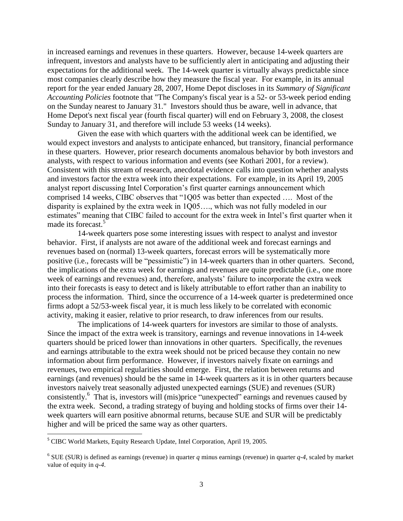in increased earnings and revenues in these quarters. However, because 14-week quarters are infrequent, investors and analysts have to be sufficiently alert in anticipating and adjusting their expectations for the additional week. The 14-week quarter is virtually always predictable since most companies clearly describe how they measure the fiscal year. For example, in its annual report for the year ended January 28, 2007, Home Depot discloses in its *Summary of Significant Accounting Policies* footnote that "The Company's fiscal year is a 52- or 53-week period ending on the Sunday nearest to January 31." Investors should thus be aware, well in advance, that Home Depot's next fiscal year (fourth fiscal quarter) will end on February 3, 2008, the closest Sunday to January 31, and therefore will include 53 weeks (14 weeks).

Given the ease with which quarters with the additional week can be identified, we would expect investors and analysts to anticipate enhanced, but transitory, financial performance in these quarters. However, prior research documents anomalous behavior by both investors and analysts, with respect to various information and events (see Kothari 2001, for a review). Consistent with this stream of research, anecdotal evidence calls into question whether analysts and investors factor the extra week into their expectations. For example, in its April 19, 2005 analyst report discussing Intel Corporation's first quarter earnings announcement which comprised 14 weeks, CIBC observes that "1Q05 was better than expected …. Most of the disparity is explained by the extra week in 1Q05…., which was not fully modeled in our estimates" meaning that CIBC failed to account for the extra week in Intel's first quarter when it made its forecast.<sup>5</sup>

14-week quarters pose some interesting issues with respect to analyst and investor behavior. First, if analysts are not aware of the additional week and forecast earnings and revenues based on (normal) 13-week quarters, forecast errors will be systematically more positive (i.e., forecasts will be "pessimistic") in 14-week quarters than in other quarters. Second, the implications of the extra week for earnings and revenues are quite predictable (i.e., one more week of earnings and revenues) and, therefore, analysts' failure to incorporate the extra week into their forecasts is easy to detect and is likely attributable to effort rather than an inability to process the information. Third, since the occurrence of a 14-week quarter is predetermined once firms adopt a 52/53-week fiscal year, it is much less likely to be correlated with economic activity, making it easier, relative to prior research, to draw inferences from our results.

The implications of 14-week quarters for investors are similar to those of analysts. Since the impact of the extra week is transitory, earnings and revenue innovations in 14-week quarters should be priced lower than innovations in other quarters. Specifically, the revenues and earnings attributable to the extra week should not be priced because they contain no new information about firm performance. However, if investors naively fixate on earnings and revenues, two empirical regularities should emerge. First, the relation between returns and earnings (and revenues) should be the same in 14-week quarters as it is in other quarters because investors naively treat seasonally adjusted unexpected earnings (SUE) and revenues (SUR) consistently.<sup>6</sup> That is, investors will (mis)price "unexpected" earnings and revenues caused by the extra week. Second, a trading strategy of buying and holding stocks of firms over their 14 week quarters will earn positive abnormal returns, because SUE and SUR will be predictably higher and will be priced the same way as other quarters.

 $\overline{\phantom{a}}$ 

<sup>&</sup>lt;sup>5</sup> CIBC World Markets, Equity Research Update, Intel Corporation, April 19, 2005.

 $6$  SUE (SUR) is defined as earnings (revenue) in quarter  $q$  minus earnings (revenue) in quarter  $q-4$ , scaled by market value of equity in *q-4*.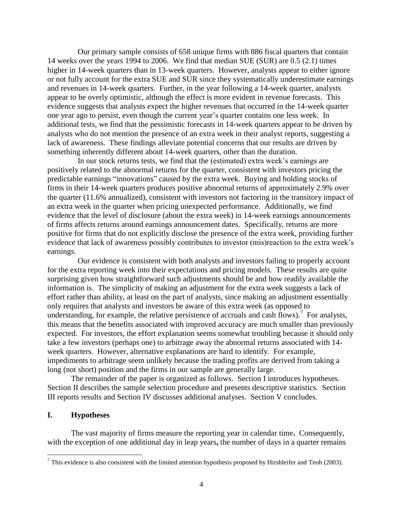Our primary sample consists of 658 unique firms with 886 fiscal quarters that contain 14 weeks over the years 1994 to 2006. We find that median SUE (SUR) are 0.5 (2.1) times higher in 14-week quarters than in 13-week quarters. However, analysts appear to either ignore or not fully account for the extra SUE and SUR since they systematically underestimate earnings and revenues in 14-week quarters. Further, in the year following a 14-week quarter, analysts appear to be overly optimistic, although the effect is more evident in revenue forecasts. This evidence suggests that analysts expect the higher revenues that occurred in the 14-week quarter one year ago to persist, even though the current year's quarter contains one less week. In additional tests, we find that the pessimistic forecasts in 14-week quarters appear to be driven by analysts who do not mention the presence of an extra week in their analyst reports, suggesting a lack of awareness. These findings alleviate potential concerns that our results are driven by something inherently different about 14-week quarters, other than the duration.

In our stock returns tests, we find that the (estimated) extra week's earnings are positively related to the abnormal returns for the quarter, consistent with investors pricing the predictable earnings "innovations" caused by the extra week. Buying and holding stocks of firms in their 14-week quarters produces positive abnormal returns of approximately 2.9% over the quarter (11.6% annualized), consistent with investors not factoring in the transitory impact of an extra week in the quarter when pricing unexpected performance. Additionally, we find evidence that the level of disclosure (about the extra week) in 14-week earnings announcements of firms affects returns around earnings announcement dates. Specifically, returns are more positive for firms that do not explicitly disclose the presence of the extra week, providing further evidence that lack of awareness possibly contributes to investor (mis)reaction to the extra week's earnings.

Our evidence is consistent with both analysts and investors failing to properly account for the extra reporting week into their expectations and pricing models. These results are quite surprising given how straightforward such adjustments should be and how readily available the information is. The simplicity of making an adjustment for the extra week suggests a lack of effort rather than ability, at least on the part of analysts, since making an adjustment essentially only requires that analysts and investors be aware of this extra week (as opposed to understanding, for example, the relative persistence of accruals and cash flows).<sup>7</sup> For analysts, this means that the benefits associated with improved accuracy are much smaller than previously expected. For investors, the effort explanation seems somewhat troubling because it should only take a few investors (perhaps one) to arbitrage away the abnormal returns associated with 14 week quarters. However, alternative explanations are hard to identify. For example, impediments to arbitrage seem unlikely because the trading profits are derived from taking a long (not short) position and the firms in our sample are generally large.

The remainder of the paper is organized as follows. Section I introduces hypotheses. Section II describes the sample selection procedure and presents descriptive statistics. Section III reports results and Section IV discusses additional analyses. Section V concludes.

## **I. Hypotheses**

 $\overline{\phantom{a}}$ 

The vast majority of firms measure the reporting year in calendar time**.** Consequently, with the exception of one additional day in leap years**,** the number of days in a quarter remains

 $^7$  This evidence is also consistent with the limited attention hypothesis proposed by Hirshleifer and Teoh (2003).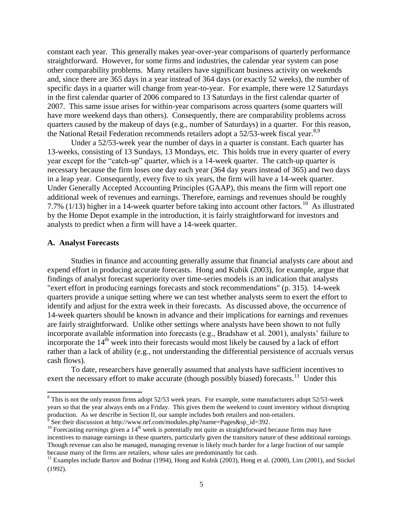constant each year. This generally makes year-over-year comparisons of quarterly performance straightforward. However, for some firms and industries, the calendar year system can pose other comparability problems. Many retailers have significant business activity on weekends and, since there are 365 days in a year instead of 364 days (or exactly 52 weeks), the number of specific days in a quarter will change from year-to-year. For example, there were 12 Saturdays in the first calendar quarter of 2006 compared to 13 Saturdays in the first calendar quarter of 2007. This same issue arises for within-year comparisons across quarters (some quarters will have more weekend days than others). Consequently, there are comparability problems across quarters caused by the makeup of days (e.g., number of Saturdays) in a quarter. For this reason, the National Retail Federation recommends retailers adopt a 52/53-week fiscal year.<sup>8,9</sup>

Under a 52/53-week year the number of days in a quarter is constant. Each quarter has 13-weeks, consisting of 13 Sundays, 13 Mondays, etc. This holds true in every quarter of every year except for the "catch-up" quarter, which is a 14-week quarter. The catch-up quarter is necessary because the firm loses one day each year (364 day years instead of 365) and two days in a leap year. Consequently, every five to six years, the firm will have a 14-week quarter. Under Generally Accepted Accounting Principles (GAAP), this means the firm will report one additional week of revenues and earnings. Therefore, earnings and revenues should be roughly 7.7%  $(1/13)$  higher in a 14-week quarter before taking into account other factors.<sup>10</sup> As illustrated by the Home Depot example in the introduction, it is fairly straightforward for investors and analysts to predict when a firm will have a 14-week quarter.

## **A. Analyst Forecasts**

l

Studies in finance and accounting generally assume that financial analysts care about and expend effort in producing accurate forecasts. Hong and Kubik (2003), for example, argue that findings of analyst forecast superiority over time-series models is an indication that analysts "exert effort in producing earnings forecasts and stock recommendations" (p. 315). 14-week quarters provide a unique setting where we can test whether analysts seem to exert the effort to identify and adjust for the extra week in their forecasts. As discussed above, the occurrence of 14-week quarters should be known in advance and their implications for earnings and revenues are fairly straightforward. Unlike other settings where analysts have been shown to not fully incorporate available information into forecasts (e.g., Bradshaw et al. 2001), analysts' failure to incorporate the  $14<sup>th</sup>$  week into their forecasts would most likely be caused by a lack of effort rather than a lack of ability (e.g., not understanding the differential persistence of accruals versus cash flows).

To date, researchers have generally assumed that analysts have sufficient incentives to exert the necessary effort to make accurate (though possibly biased) forecasts.<sup>11</sup> Under this

<sup>&</sup>lt;sup>8</sup> This is not the only reason firms adopt 52/53 week years. For example, some manufacturers adopt 52/53-week years so that the year always ends on a Friday. This gives them the weekend to count inventory without disrupting production. As we describe in Section II, our sample includes both retailers and non-retailers. See their discussion at http://www.nrf.com/modules.php?name=Pages&sp\_id=392.

<sup>&</sup>lt;sup>10</sup> Forecasting *earnings* given a 14<sup>th</sup> week is potentially not quite as straightforward because firms may have incentives to manage earnings in these quarters, particularly given the transitory nature of these additional earnings. Though revenue can also be managed, managing revenue is likely much harder for a large fraction of our sample because many of the firms are retailers, whose sales are predominantly for cash.

<sup>&</sup>lt;sup>11</sup> Examples include Bartov and Bodnar (1994), Hong and Kubik (2003), Hong et al. (2000), Lim (2001), and Stickel (1992).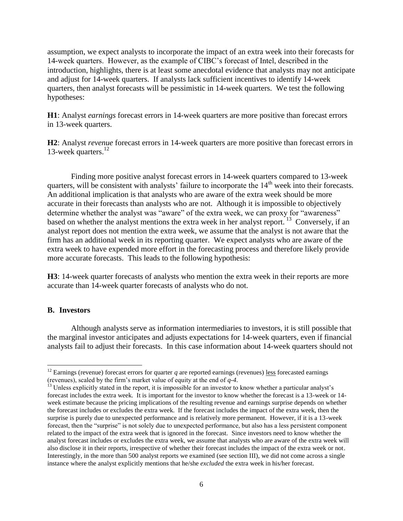assumption, we expect analysts to incorporate the impact of an extra week into their forecasts for 14-week quarters. However, as the example of CIBC's forecast of Intel, described in the introduction, highlights, there is at least some anecdotal evidence that analysts may not anticipate and adjust for 14-week quarters. If analysts lack sufficient incentives to identify 14-week quarters, then analyst forecasts will be pessimistic in 14-week quarters. We test the following hypotheses:

**H1**: Analyst *earnings* forecast errors in 14-week quarters are more positive than forecast errors in 13-week quarters.

**H2**: Analyst *revenue* forecast errors in 14-week quarters are more positive than forecast errors in 13-week quarters.<sup>12</sup>

Finding more positive analyst forecast errors in 14-week quarters compared to 13-week quarters, will be consistent with analysts' failure to incorporate the 14<sup>th</sup> week into their forecasts. An additional implication is that analysts who are aware of the extra week should be more accurate in their forecasts than analysts who are not. Although it is impossible to objectively determine whether the analyst was "aware" of the extra week, we can proxy for "awareness" based on whether the analyst mentions the extra week in her analyst report.<sup>13</sup> Conversely, if an analyst report does not mention the extra week, we assume that the analyst is not aware that the firm has an additional week in its reporting quarter. We expect analysts who are aware of the extra week to have expended more effort in the forecasting process and therefore likely provide more accurate forecasts. This leads to the following hypothesis:

**H3**: 14-week quarter forecasts of analysts who mention the extra week in their reports are more accurate than 14-week quarter forecasts of analysts who do not.

## **B. Investors**

 $\overline{\phantom{a}}$ 

Although analysts serve as information intermediaries to investors, it is still possible that the marginal investor anticipates and adjusts expectations for 14-week quarters, even if financial analysts fail to adjust their forecasts. In this case information about 14-week quarters should not

 $12$  Earnings (revenue) forecast errors for quarter  $q$  are reported earnings (revenues) less forecasted earnings (revenues), scaled by the firm's market value of equity at the end of *q-4*.

<sup>&</sup>lt;sup>13</sup> Unless explicitly stated in the report, it is impossible for an investor to know whether a particular analyst's forecast includes the extra week. It is important for the investor to know whether the forecast is a 13-week or 14 week estimate because the pricing implications of the resulting revenue and earnings surprise depends on whether the forecast includes or excludes the extra week. If the forecast includes the impact of the extra week, then the surprise is purely due to unexpected performance and is relatively more permanent. However, if it is a 13-week forecast, then the "surprise" is not solely due to unexpected performance, but also has a less persistent component related to the impact of the extra week that is ignored in the forecast. Since investors need to know whether the analyst forecast includes or excludes the extra week, we assume that analysts who are aware of the extra week will also disclose it in their reports, irrespective of whether their forecast includes the impact of the extra week or not. Interestingly, in the more than 500 analyst reports we examined (see section III), we did not come across a single instance where the analyst explicitly mentions that he/she *excluded* the extra week in his/her forecast.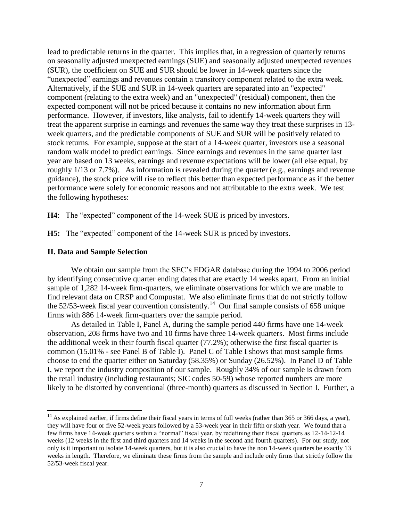lead to predictable returns in the quarter. This implies that, in a regression of quarterly returns on seasonally adjusted unexpected earnings (SUE) and seasonally adjusted unexpected revenues (SUR), the coefficient on SUE and SUR should be lower in 14-week quarters since the "unexpected" earnings and revenues contain a transitory component related to the extra week. Alternatively, if the SUE and SUR in 14-week quarters are separated into an "expected" component (relating to the extra week) and an "unexpected" (residual) component, then the expected component will not be priced because it contains no new information about firm performance. However, if investors, like analysts, fail to identify 14-week quarters they will treat the apparent surprise in earnings and revenues the same way they treat these surprises in 13 week quarters, and the predictable components of SUE and SUR will be positively related to stock returns. For example, suppose at the start of a 14-week quarter, investors use a seasonal random walk model to predict earnings. Since earnings and revenues in the same quarter last year are based on 13 weeks, earnings and revenue expectations will be lower (all else equal, by roughly 1/13 or 7.7%). As information is revealed during the quarter (e.g., earnings and revenue guidance), the stock price will rise to reflect this better than expected performance as if the better performance were solely for economic reasons and not attributable to the extra week. We test the following hypotheses:

**H4**: The "expected" component of the 14-week SUE is priced by investors.

**H5:** The "expected" component of the 14-week SUR is priced by investors.

### **II. Data and Sample Selection**

 $\overline{a}$ 

We obtain our sample from the SEC's EDGAR database during the 1994 to 2006 period by identifying consecutive quarter ending dates that are exactly 14 weeks apart. From an initial sample of 1,282 14-week firm-quarters, we eliminate observations for which we are unable to find relevant data on CRSP and Compustat. We also eliminate firms that do not strictly follow the 52/53-week fiscal year convention consistently.<sup>14</sup> Our final sample consists of 658 unique firms with 886 14-week firm-quarters over the sample period.

As detailed in Table I, Panel A, during the sample period 440 firms have one 14-week observation, 208 firms have two and 10 firms have three 14-week quarters. Most firms include the additional week in their fourth fiscal quarter (77.2%); otherwise the first fiscal quarter is common (15.01% - see Panel B of Table I). Panel C of Table I shows that most sample firms choose to end the quarter either on Saturday (58.35%) or Sunday (26.52%). In Panel D of Table I, we report the industry composition of our sample. Roughly 34% of our sample is drawn from the retail industry (including restaurants; SIC codes 50-59) whose reported numbers are more likely to be distorted by conventional (three-month) quarters as discussed in Section I. Further, a

 $14$  As explained earlier, if firms define their fiscal years in terms of full weeks (rather than 365 or 366 days, a year), they will have four or five 52-week years followed by a 53-week year in their fifth or sixth year. We found that a few firms have 14-week quarters within a "normal" fiscal year, by redefining their fiscal quarters as 12-14-12-14 weeks (12 weeks in the first and third quarters and 14 weeks in the second and fourth quarters). For our study, not only is it important to isolate 14-week quarters, but it is also crucial to have the non 14-week quarters be exactly 13 weeks in length. Therefore, we eliminate these firms from the sample and include only firms that strictly follow the 52/53-week fiscal year.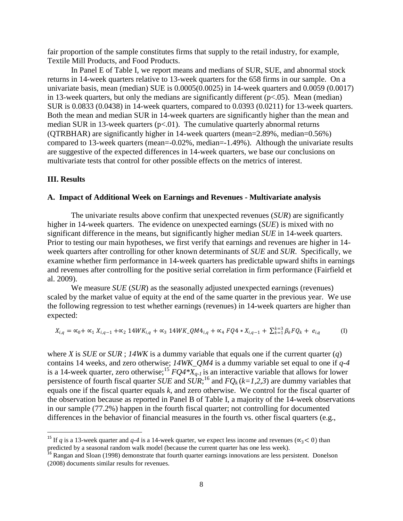fair proportion of the sample constitutes firms that supply to the retail industry, for example, Textile Mill Products, and Food Products.

In Panel E of Table I, we report means and medians of SUR, SUE, and abnormal stock returns in 14-week quarters relative to 13-week quarters for the 658 firms in our sample. On a univariate basis, mean (median) SUE is 0.0005(0.0025) in 14-week quarters and 0.0059 (0.0017) in 13-week quarters, but only the medians are significantly different  $(p<.05)$ . Mean (median) SUR is 0.0833 (0.0438) in 14-week quarters, compared to 0.0393 (0.0211) for 13-week quarters. Both the mean and median SUR in 14-week quarters are significantly higher than the mean and median SUR in 13-week quarters  $(p<.01)$ . The cumulative quarterly abnormal returns (QTRBHAR) are significantly higher in 14-week quarters (mean=2.89%, median=0.56%) compared to 13-week quarters (mean=-0.02%, median=-1.49%). Although the univariate results are suggestive of the expected differences in 14-week quarters, we base our conclusions on multivariate tests that control for other possible effects on the metrics of interest.

## **III. Results**

l

### **A. Impact of Additional Week on Earnings and Revenues - Multivariate analysis**

The univariate results above confirm that unexpected revenues (*SUR*) are significantly higher in 14-week quarters. The evidence on unexpected earnings (*SUE*) is mixed with no significant difference in the means, but significantly higher median *SUE* in 14-week quarters. Prior to testing our main hypotheses, we first verify that earnings and revenues are higher in 14 week quarters after controlling for other known determinants of *SUE* and *SUR*. Specifically, we examine whether firm performance in 14-week quarters has predictable upward shifts in earnings and revenues after controlling for the positive serial correlation in firm performance (Fairfield et al. 2009).

We measure *SUE* (*SUR*) as the seasonally adjusted unexpected earnings (revenues) scaled by the market value of equity at the end of the same quarter in the previous year. We use the following regression to test whether earnings (revenues) in 14-week quarters are higher than expected:

$$
X_{i,q} = \alpha_0 + \alpha_1 X_{i,q-1} + \alpha_2 14WK_{i,q} + \alpha_3 14WK\_QM4_{i,q} + \alpha_4 FQ4 * X_{i,q-1} + \sum_{k=1}^{k=3} \beta_k FQ_k + e_{i,q}
$$
 (I)

where *X* is *SUE* or *SUR* ; *14WK* is a dummy variable that equals one if the current quarter (*q*) contains 14 weeks, and zero otherwise; *14WK\_QM4* is a dummy variable set equal to one if *q-4* is a 14-week quarter, zero otherwise;<sup>15</sup>  $FQA * X_{q-1}$  is an interactive variable that allows for lower persistence of fourth fiscal quarter *SUE* and  $SUR$ <sup>16</sup>, and  $FQ_k(k=1,2,3)$  are dummy variables that equals one if the fiscal quarter equals *k*, and zero otherwise. We control for the fiscal quarter of the observation because as reported in Panel B of Table I, a majority of the 14-week observations in our sample (77.2%) happen in the fourth fiscal quarter; not controlling for documented differences in the behavior of financial measures in the fourth vs. other fiscal quarters (e.g.,

<sup>&</sup>lt;sup>15</sup> If *q* is a 13-week quarter and *q-4* is a 14-week quarter, we expect less income and revenues ( $\alpha_3$ < 0) than predicted by a seasonal random walk model (because the current quarter has one less week).

<sup>&</sup>lt;sup>16</sup> Rangan and Sloan (1998) demonstrate that fourth quarter earnings innovations are less persistent. Donelson (2008) documents similar results for revenues.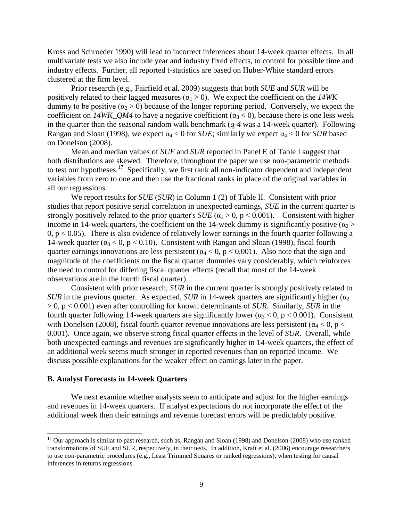Kross and Schroeder 1990) will lead to incorrect inferences about 14-week quarter effects. In all multivariate tests we also include year and industry fixed effects, to control for possible time and industry effects. Further, all reported t-statistics are based on Huber-White standard errors clustered at the firm level.

Prior research (e.g., Fairfield et al. 2009) suggests that both *SUE* and *SUR* will be positively related to their lagged measures  $(\alpha_1 > 0)$ . We expect the coefficient on the *14WK* dummy to be positive  $(a_2 > 0)$  because of the longer reporting period. Conversely, we expect the coefficient on  $14WK\_QM4$  to have a negative coefficient ( $\alpha_3 < 0$ ), because there is one less week in the quarter than the seasonal random walk benchmark (*q-4* was a 14-week quarter). Following Rangan and Sloan (1998), we expect  $\alpha_4 < 0$  for *SUE*; similarly we expect  $\alpha_4 < 0$  for *SUR* based on Donelson (2008).

Mean and median values of *SUE* and *SUR* reported in Panel E of Table I suggest that both distributions are skewed. Therefore, throughout the paper we use non-parametric methods to test our hypotheses.<sup>17</sup> Specifically, we first rank all non-indicator dependent and independent variables from zero to one and then use the fractional ranks in place of the original variables in all our regressions.

We report results for *SUE* (*SUR*) in Column 1 (2) of Table II. Consistent with prior studies that report positive serial correlation in unexpected earnings, *SUE* in the current quarter is strongly positively related to the prior quarter's  $SUE$  ( $\alpha_1 > 0$ ,  $p < 0.001$ ). Consistent with higher income in 14-week quarters, the coefficient on the 14-week dummy is significantly positive ( $\alpha_2$ ) 0,  $p < 0.05$ ). There is also evidence of relatively lower earnings in the fourth quarter following a 14-week quarter ( $\alpha_3 < 0$ ,  $p < 0.10$ ). Consistent with Rangan and Sloan (1998), fiscal fourth quarter earnings innovations are less persistent ( $\alpha_4 < 0$ , p < 0.001). Also note that the sign and magnitude of the coefficients on the fiscal quarter dummies vary considerably, which reinforces the need to control for differing fiscal quarter effects (recall that most of the 14-week observations are in the fourth fiscal quarter).

Consistent with prior research, *SUR* in the current quarter is strongly positively related to *SUR* in the previous quarter. As expected, *SUR* in 14-week quarters are significantly higher ( $\alpha$ <sub>2</sub>) > 0, p < 0.001) even after controlling for known determinants of *SUR*. Similarly, *SUR* in the fourth quarter following 14-week quarters are significantly lower ( $\alpha_3 < 0$ , p < 0.001). Consistent with Donelson (2008), fiscal fourth quarter revenue innovations are less persistent ( $\alpha_4 < 0$ , p  $<$ 0.001). Once again, we observe strong fiscal quarter effects in the level of *SUR*. Overall, while both unexpected earnings and revenues are significantly higher in 14-week quarters, the effect of an additional week seems much stronger in reported revenues than on reported income. We discuss possible explanations for the weaker effect on earnings later in the paper.

### **B. Analyst Forecasts in 14-week Quarters**

 $\overline{\phantom{a}}$ 

We next examine whether analysts seem to anticipate and adjust for the higher earnings and revenues in 14-week quarters. If analyst expectations do not incorporate the effect of the additional week then their earnings and revenue forecast errors will be predictably positive.

 $17$  Our approach is similar to past research, such as, Rangan and Sloan (1998) and Donelson (2008) who use ranked transformations of SUE and SUR, respectively, in their tests. In addition, Kraft et al. (2006) encourage researchers to use non-parametric procedures (e.g., Least Trimmed Squares or ranked regressions), when testing for causal inferences in returns regressions.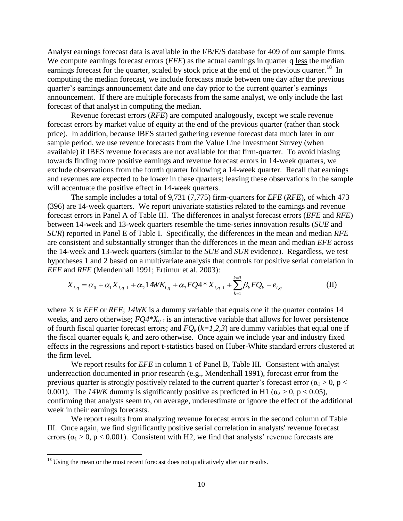Analyst earnings forecast data is available in the I/B/E/S database for 409 of our sample firms. We compute earnings forecast errors *(EFE)* as the actual earnings in quarter q less the median earnings forecast for the quarter, scaled by stock price at the end of the previous quarter.<sup>18</sup> In computing the median forecast, we include forecasts made between one day after the previous quarter's earnings announcement date and one day prior to the current quarter's earnings announcement. If there are multiple forecasts from the same analyst, we only include the last forecast of that analyst in computing the median.

Revenue forecast errors (*RFE*) are computed analogously, except we scale revenue forecast errors by market value of equity at the end of the previous quarter (rather than stock price). In addition, because IBES started gathering revenue forecast data much later in our sample period, we use revenue forecasts from the Value Line Investment Survey (when available) if IBES revenue forecasts are not available for that firm-quarter. To avoid biasing towards finding more positive earnings and revenue forecast errors in 14-week quarters, we exclude observations from the fourth quarter following a 14-week quarter. Recall that earnings and revenues are expected to be lower in these quarters; leaving these observations in the sample will accentuate the positive effect in 14-week quarters.

The sample includes a total of 9,731 (7,775) firm-quarters for *EFE* (*RFE*), of which 473 (396) are 14-week quarters. We report univariate statistics related to the earnings and revenue forecast errors in Panel A of Table III. The differences in analyst forecast errors (*EFE* and *RFE*) between 14-week and 13-week quarters resemble the time-series innovation results (*SUE* and *SUR*) reported in Panel E of Table I. Specifically, the differences in the mean and median *RFE* are consistent and substantially stronger than the differences in the mean and median *EFE* across the 14-week and 13-week quarters (similar to the *SUE* and *SUR* evidence). Regardless, we test hypotheses 1 and 2 based on a multivariate analysis that controls for positive serial correlation in

*EFE* and *RFE* (Mendenhall 1991; Ertimur et al. 2003):  
\n
$$
X_{i,q} = \alpha_0 + \alpha_1 X_{i,q-1} + \alpha_2 14W K_{i,q} + \alpha_3 FQ4 * X_{i,q-1} + \sum_{k=1}^{k=3} \beta_k FQ_k + e_{i,q}
$$
\n(II)

where X is *EFE* or *RFE*; *14WK* is a dummy variable that equals one if the quarter contains 14 weeks, and zero otherwise; *FQ4\*Xq-1* is an interactive variable that allows for lower persistence of fourth fiscal quarter forecast errors; and  $FQ_k(k=1,2,3)$  are dummy variables that equal one if the fiscal quarter equals *k*, and zero otherwise. Once again we include year and industry fixed effects in the regressions and report t-statistics based on Huber-White standard errors clustered at the firm level.

We report results for *EFE* in column 1 of Panel B, Table III. Consistent with analyst underreaction documented in prior research (e.g., Mendenhall 1991), forecast error from the previous quarter is strongly positively related to the current quarter's forecast error ( $\alpha_1 > 0$ , p < 0.001). The *14WK* dummy is significantly positive as predicted in H1 ( $\alpha_2 > 0$ ,  $p < 0.05$ ), confirming that analysts seem to, on average, underestimate or ignore the effect of the additional week in their earnings forecasts.

We report results from analyzing revenue forecast errors in the second column of Table III. Once again, we find significantly positive serial correlation in analysts' revenue forecast errors ( $\alpha_1 > 0$ ,  $p < 0.001$ ). Consistent with H2, we find that analysts' revenue forecasts are

 $\overline{\phantom{a}}$ 

 $18$  Using the mean or the most recent forecast does not qualitatively alter our results.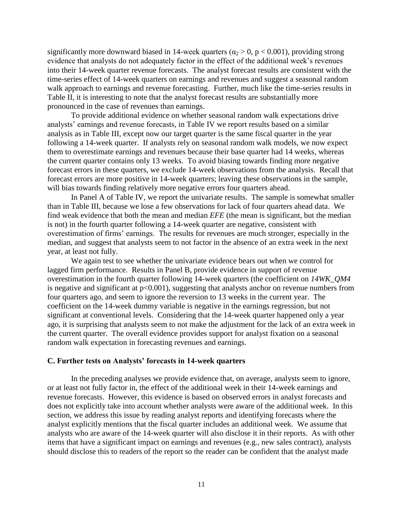significantly more downward biased in 14-week quarters ( $\alpha_2 > 0$ , p < 0.001), providing strong evidence that analysts do not adequately factor in the effect of the additional week's revenues into their 14-week quarter revenue forecasts. The analyst forecast results are consistent with the time-series effect of 14-week quarters on earnings and revenues and suggest a seasonal random walk approach to earnings and revenue forecasting. Further, much like the time-series results in Table II, it is interesting to note that the analyst forecast results are substantially more pronounced in the case of revenues than earnings.

To provide additional evidence on whether seasonal random walk expectations drive analysts' earnings and revenue forecasts, in Table IV we report results based on a similar analysis as in Table III, except now our target quarter is the same fiscal quarter in the year following a 14-week quarter. If analysts rely on seasonal random walk models, we now expect them to overestimate earnings and revenues because their base quarter had 14 weeks, whereas the current quarter contains only 13 weeks. To avoid biasing towards finding more negative forecast errors in these quarters, we exclude 14-week observations from the analysis. Recall that forecast errors are more positive in 14-week quarters; leaving these observations in the sample, will bias towards finding relatively more negative errors four quarters ahead.

In Panel A of Table IV, we report the univariate results. The sample is somewhat smaller than in Table III, because we lose a few observations for lack of four quarters ahead data. We find weak evidence that both the mean and median *EFE* (the mean is significant, but the median is not) in the fourth quarter following a 14-week quarter are negative, consistent with overestimation of firms' earnings. The results for revenues are much stronger, especially in the median, and suggest that analysts seem to not factor in the absence of an extra week in the next year, at least not fully.

We again test to see whether the univariate evidence bears out when we control for lagged firm performance. Results in Panel B, provide evidence in support of revenue overestimation in the fourth quarter following 14-week quarters (the coefficient on *14WK\_QM4* is negative and significant at  $p<0.001$ ), suggesting that analysts anchor on revenue numbers from four quarters ago, and seem to ignore the reversion to 13 weeks in the current year. The coefficient on the 14-week dummy variable is negative in the earnings regression, but not significant at conventional levels. Considering that the 14-week quarter happened only a year ago, it is surprising that analysts seem to not make the adjustment for the lack of an extra week in the current quarter. The overall evidence provides support for analyst fixation on a seasonal random walk expectation in forecasting revenues and earnings.

### **C. Further tests on Analysts' forecasts in 14-week quarters**

In the preceding analyses we provide evidence that, on average, analysts seem to ignore, or at least not fully factor in, the effect of the additional week in their 14-week earnings and revenue forecasts. However, this evidence is based on observed errors in analyst forecasts and does not explicitly take into account whether analysts were aware of the additional week. In this section, we address this issue by reading analyst reports and identifying forecasts where the analyst explicitly mentions that the fiscal quarter includes an additional week. We assume that analysts who are aware of the 14-week quarter will also disclose it in their reports. As with other items that have a significant impact on earnings and revenues (e.g., new sales contract), analysts should disclose this to readers of the report so the reader can be confident that the analyst made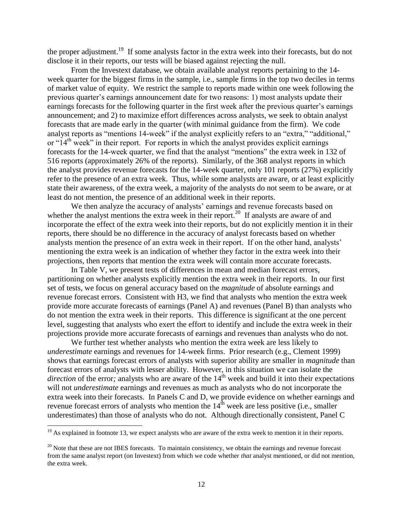the proper adjustment.<sup>19</sup> If some analysts factor in the extra week into their forecasts, but do not disclose it in their reports, our tests will be biased against rejecting the null.

From the Investext database, we obtain available analyst reports pertaining to the 14 week quarter for the biggest firms in the sample, i.e., sample firms in the top two deciles in terms of market value of equity. We restrict the sample to reports made within one week following the previous quarter's earnings announcement date for two reasons: 1) most analysts update their earnings forecasts for the following quarter in the first week after the previous quarter's earnings announcement; and 2) to maximize effort differences across analysts, we seek to obtain analyst forecasts that are made early in the quarter (with minimal guidance from the firm). We code analyst reports as "mentions 14-week" if the analyst explicitly refers to an "extra," "additional," or " $14<sup>th</sup>$  week" in their report. For reports in which the analyst provides explicit earnings forecasts for the 14-week quarter, we find that the analyst "mentions" the extra week in 132 of 516 reports (approximately 26% of the reports). Similarly, of the 368 analyst reports in which the analyst provides revenue forecasts for the 14-week quarter, only 101 reports (27%) explicitly refer to the presence of an extra week. Thus, while some analysts are aware, or at least explicitly state their awareness, of the extra week, a majority of the analysts do not seem to be aware, or at least do not mention, the presence of an additional week in their reports.

We then analyze the accuracy of analysts' earnings and revenue forecasts based on whether the analyst mentions the extra week in their report.<sup>20</sup> If analysts are aware of and incorporate the effect of the extra week into their reports, but do not explicitly mention it in their reports, there should be no difference in the accuracy of analyst forecasts based on whether analysts mention the presence of an extra week in their report. If on the other hand, analysts' mentioning the extra week is an indication of whether they factor in the extra week into their projections, then reports that mention the extra week will contain more accurate forecasts.

In Table V, we present tests of differences in mean and median forecast errors, partitioning on whether analysts explicitly mention the extra week in their reports. In our first set of tests, we focus on general accuracy based on the *magnitude* of absolute earnings and revenue forecast errors. Consistent with H3, we find that analysts who mention the extra week provide more accurate forecasts of earnings (Panel A) and revenues (Panel B) than analysts who do not mention the extra week in their reports. This difference is significant at the one percent level, suggesting that analysts who exert the effort to identify and include the extra week in their projections provide more accurate forecasts of earnings and revenues than analysts who do not.

We further test whether analysts who mention the extra week are less likely to *underestimate* earnings and revenues for 14-week firms. Prior research (e.g., Clement 1999) shows that earnings forecast errors of analysts with superior ability are smaller in *magnitude* than forecast errors of analysts with lesser ability. However, in this situation we can isolate the *direction* of the error; analysts who are aware of the  $14<sup>th</sup>$  week and build it into their expectations will not *underestimate* earnings and revenues as much as analysts who do not incorporate the extra week into their forecasts. In Panels C and D, we provide evidence on whether earnings and revenue forecast errors of analysts who mention the  $14<sup>th</sup>$  week are less positive (i.e., smaller underestimates) than those of analysts who do not. Although directionally consistent, Panel C

 $\overline{\phantom{a}}$ 

 $19$  As explained in footnote 13, we expect analysts who are aware of the extra week to mention it in their reports.

 $20$  Note that these are not IBES forecasts. To maintain consistency, we obtain the earnings and revenue forecast from the same analyst report (on Investext) from which we code whether *that* analyst mentioned, or did not mention, the extra week.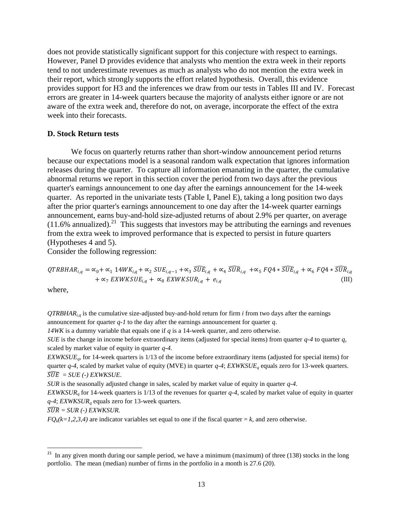does not provide statistically significant support for this conjecture with respect to earnings. However, Panel D provides evidence that analysts who mention the extra week in their reports tend to not underestimate revenues as much as analysts who do not mention the extra week in their report, which strongly supports the effort related hypothesis. Overall, this evidence provides support for H3 and the inferences we draw from our tests in Tables III and IV. Forecast errors are greater in 14-week quarters because the majority of analysts either ignore or are not aware of the extra week and, therefore do not, on average, incorporate the effect of the extra week into their forecasts.

### **D. Stock Return tests**

We focus on quarterly returns rather than short-window announcement period returns because our expectations model is a seasonal random walk expectation that ignores information releases during the quarter. To capture all information emanating in the quarter, the cumulative abnormal returns we report in this section cover the period from two days after the previous quarter's earnings announcement to one day after the earnings announcement for the 14-week quarter. As reported in the univariate tests (Table I, Panel E), taking a long position two days after the prior quarter's earnings announcement to one day after the 14-week quarter earnings announcement, earns buy-and-hold size-adjusted returns of about 2.9% per quarter, on average  $(11.6\%$  annualized).<sup>21</sup> This suggests that investors may be attributing the earnings and revenues from the extra week to improved performance that is expected to persist in future quarters (Hypotheses 4 and 5).

Consider the following regression:

$$
QTRBHAR_{i,q} = \alpha_0 + \alpha_1 14WK_{i,q} + \alpha_2 SUE_{i,q-1} + \alpha_3 \overline{SUE}_{i,q} + \alpha_4 \overline{SUR}_{i,q} + \alpha_5 FQ4 * \overline{SUE}_{i,q} + \alpha_6 FQ4 * \overline{SUR}_{i,q} + \alpha_7 EXWKSUE_{i,q} + \alpha_8 EXWKSUR_{i,q} + e_{i,q}
$$
\n(III)

where,

 $QTRBHAR<sub>i,d</sub>$  is the cumulative size-adjusted buy-and-hold return for firm *i* from two days after the earnings announcement for quarter *q-1* to the day after the earnings announcement for quarter *q*.

*14WK* is a dummy variable that equals one if *q* is a 14-week quarter, and zero otherwise.

*SUE* is the change in income before extraordinary items (adjusted for special items) from quarter *q-4* to quarter *q*, scaled by market value of equity in quarter *q-4*.

*EXWKSUEq*, for 14-week quarters is 1/13 of the income before extraordinary items (adjusted for special items) for quarter *q-4*, scaled by market value of equity (MVE) in quarter *q-4*; *EXWKSUE<sup>q</sup>* equals zero for 13-week quarters.  $\widehat{SUE} = SUE$  (-) EXWKSUE.

*SUR* is the seasonally adjusted change in sales, scaled by market value of equity in quarter *q-4*.

*EXWKSUR<sup>q</sup>* for 14-week quarters is 1/13 of the revenues for quarter *q-4*, scaled by market value of equity in quarter *q-4*; *EXWKSUR<sup>q</sup>* equals zero for 13-week quarters.

 $\widehat{SUB} = SUR$  (-) EXWKSUR.

 $FQ_k(k=1,2,3,4)$  are indicator variables set equal to one if the fiscal quarter  $=k$ , and zero otherwise.

 ${\bf 21}$ In any given month during our sample period, we have a minimum (maximum) of three (138) stocks in the long portfolio. The mean (median) number of firms in the portfolio in a month is 27.6 (20).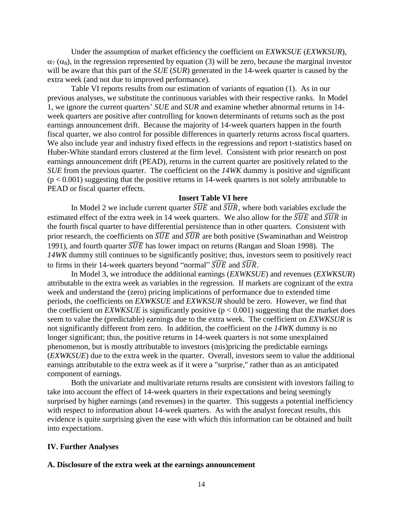Under the assumption of market efficiency the coefficient on *EXWKSUE* (*EXWKSUR*),  $\alpha_7$  ( $\alpha_8$ ), in the regression represented by equation (3) will be zero, because the marginal investor will be aware that this part of the *SUE* (*SUR*) generated in the 14-week quarter is caused by the extra week (and not due to improved performance).

Table VI reports results from our estimation of variants of equation (1). As in our previous analyses, we substitute the continuous variables with their respective ranks. In Model 1, we ignore the current quarters' *SUE* and *SUR* and examine whether abnormal returns in 14 week quarters are positive after controlling for known determinants of returns such as the post earnings announcement drift. Because the majority of 14-week quarters happen in the fourth fiscal quarter, we also control for possible differences in quarterly returns across fiscal quarters. We also include year and industry fixed effects in the regressions and report t-statistics based on Huber-White standard errors clustered at the firm level. Consistent with prior research on post earnings announcement drift (PEAD), returns in the current quarter are positively related to the *SUE* from the previous quarter. The coefficient on the *14WK* dummy is positive and significant  $(p < 0.001)$  suggesting that the positive returns in 14-week quarters is not solely attributable to PEAD or fiscal quarter effects.

## **Insert Table VI here**

In Model 2 we include current quarter  $\widehat{SUE}$  and  $\widehat{SUR}$ , where both variables exclude the estimated effect of the extra week in 14 week quarters. We also allow for the  $\widehat{SUE}$  and  $\widehat{SUR}$  in the fourth fiscal quarter to have differential persistence than in other quarters. Consistent with prior research, the coefficients on  $\widehat{SUE}$  and  $\widehat{SUR}$  are both positive (Swaminathan and Weintrop 1991), and fourth quarter  $\widehat{SUE}$  has lower impact on returns (Rangan and Sloan 1998). The *14WK* dummy still continues to be significantly positive; thus, investors seem to positively react to firms in their 14-week quarters beyond "normal"  $\widehat{SUE}$  and  $\widehat{SUR}$ .

In Model 3, we introduce the additional earnings (*EXWKSUE*) and revenues (*EXWKSUR*) attributable to the extra week as variables in the regression. If markets are cognizant of the extra week and understand the (zero) pricing implications of performance due to extended time periods, the coefficients on *EXWKSUE* and *EXWKSUR* should be zero. However, we find that the coefficient on *EXWKSUE* is significantly positive  $(p < 0.001)$  suggesting that the market does seem to value the (predictable) earnings due to the extra week. The coefficient on *EXWKSUR* is not significantly different from zero. In addition, the coefficient on the *14WK* dummy is no longer significant; thus, the positive returns in 14-week quarters is not some unexplained phenomenon, but is mostly attributable to investors (mis)pricing the predictable earnings (*EXWKSUE*) due to the extra week in the quarter. Overall, investors seem to value the additional earnings attributable to the extra week as if it were a "surprise," rather than as an anticipated component of earnings.

Both the univariate and multivariate returns results are consistent with investors failing to take into account the effect of 14-week quarters in their expectations and being seemingly surprised by higher earnings (and revenues) in the quarter. This suggests a potential inefficiency with respect to information about 14-week quarters. As with the analyst forecast results, this evidence is quite surprising given the ease with which this information can be obtained and built into expectations.

## **IV. Further Analyses**

### **A. Disclosure of the extra week at the earnings announcement**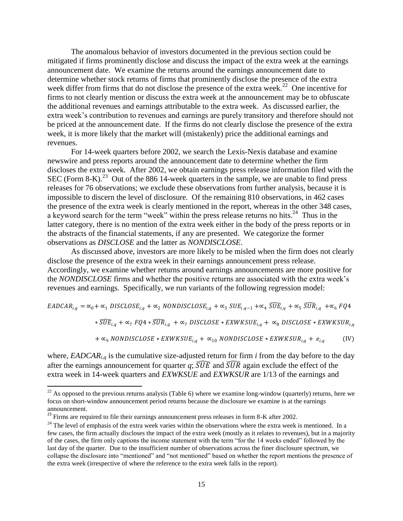The anomalous behavior of investors documented in the previous section could be mitigated if firms prominently disclose and discuss the impact of the extra week at the earnings announcement date. We examine the returns around the earnings announcement date to determine whether stock returns of firms that prominently disclose the presence of the extra week differ from firms that do not disclose the presence of the extra week.<sup>22</sup> One incentive for firms to not clearly mention or discuss the extra week at the announcement may be to obfuscate the additional revenues and earnings attributable to the extra week. As discussed earlier, the extra week's contribution to revenues and earnings are purely transitory and therefore should not be priced at the announcement date. If the firms do not clearly disclose the presence of the extra week, it is more likely that the market will (mistakenly) price the additional earnings and revenues.

For 14-week quarters before 2002, we search the Lexis-Nexis database and examine newswire and press reports around the announcement date to determine whether the firm discloses the extra week. After 2002, we obtain earnings press release information filed with the SEC (Form 8-K).<sup>23</sup> Out of the 886 14-week quarters in the sample, we are unable to find press releases for 76 observations; we exclude these observations from further analysis, because it is impossible to discern the level of disclosure. Of the remaining 810 observations, in 462 cases the presence of the extra week is clearly mentioned in the report, whereas in the other 348 cases, a keyword search for the term "week" within the press release returns no hits.<sup>24</sup> Thus in the latter category, there is no mention of the extra week either in the body of the press reports or in the abstracts of the financial statements, if any are presented. We categorize the former observations as *DISCLOSE* and the latter as *NONDISCLOSE*.

As discussed above, investors are more likely to be misled when the firm does not clearly disclose the presence of the extra week in their earnings announcement press release. Accordingly, we examine whether returns around earnings announcements are more positive for the *NONDISCLOSE* firms and whether the positive returns are associated with the extra week's revenues and earnings. Specifically, we run variants of the following regression model:

 $EADCAR_{i,q} = \alpha_0 + \alpha_1 \; DISCLOSE_{i,q} + \alpha_2 \; NONDISCLOSE_{i,q} + \alpha_3 \; SUE_{i,q-1} + \alpha_4 \; \widehat{SUE}_{i,q} + \alpha_5 \; \widehat{SUB}_{i,q} \; + \alpha_6 \; FQA$ 

 $*\widehat{SUE}_{i,q} + \alpha_7 \ FQ4 * \widehat{SUR}_{i,q} + \alpha_7 \ DISCLOSE * EXWKSUE_{i,q} + \alpha_8 \ DISCLOSE * EXWKSUR_{i,q}$ 

 $+ \alpha_9$  NONDISCLOSE \* EXWKSUE<sub>i,q</sub> +  $\alpha_{10}$  NONDISCLOSE \* EXWKSUR<sub>i,q</sub> +  $e_{i,q}$  (IV)

where,  $EADCAR_{i,q}$  is the cumulative size-adjusted return for firm *i* from the day before to the day after the earnings announcement for quarter  $q$ ;  $\widehat{SUE}$  and  $\widehat{SUR}$  again exclude the effect of the extra week in 14-week quarters and *EXWKSUE* and *EXWKSUR* are 1/13 of the earnings and

l

 $^{22}$  As opposed to the previous returns analysis (Table 6) where we examine long-window (quarterly) returns, here we focus on short-window announcement period returns because the disclosure we examine is at the earnings announcement.

<sup>&</sup>lt;sup>23</sup> Firms are required to file their earnings announcement press releases in form 8-K after 2002.

 $24$  The level of emphasis of the extra week varies within the observations where the extra week is mentioned. In a few cases, the firm actually discloses the impact of the extra week (mostly as it relates to revenues), but in a majority of the cases, the firm only captions the income statement with the term "for the 14 weeks ended" followed by the last day of the quarter. Due to the insufficient number of observations across the finer disclosure spectrum, we collapse the disclosure into "mentioned" and "not mentioned" based on whether the report mentions the presence of the extra week (irrespective of where the reference to the extra week falls in the report).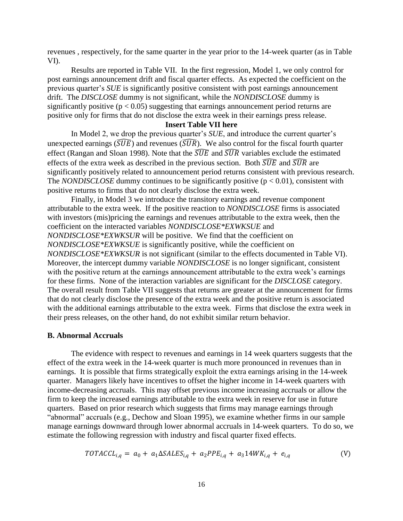revenues , respectively, for the same quarter in the year prior to the 14-week quarter (as in Table VI).

Results are reported in Table VII. In the first regression, Model 1, we only control for post earnings announcement drift and fiscal quarter effects. As expected the coefficient on the previous quarter's *SUE* is significantly positive consistent with post earnings announcement drift. The *DISCLOSE* dummy is not significant, while the *NONDISCLOSE* dummy is significantly positive ( $p < 0.05$ ) suggesting that earnings announcement period returns are positive only for firms that do not disclose the extra week in their earnings press release.

## **Insert Table VII here**

In Model 2, we drop the previous quarter's *SUE*, and introduce the current quarter's unexpected earnings ( $\widehat{SUE}$ ) and revenues ( $\widehat{SUR}$ ). We also control for the fiscal fourth quarter effect (Rangan and Sloan 1998). Note that the  $\widehat{SUE}$  and  $\widehat{SUR}$  variables exclude the estimated effects of the extra week as described in the previous section. Both  $\widehat{SUE}$  and  $\widehat{SUR}$  are significantly positively related to announcement period returns consistent with previous research. The *NONDISCLOSE* dummy continues to be significantly positive  $(p < 0.01)$ , consistent with positive returns to firms that do not clearly disclose the extra week.

Finally, in Model 3 we introduce the transitory earnings and revenue component attributable to the extra week. If the positive reaction to *NONDISCLOSE* firms is associated with investors (mis)pricing the earnings and revenues attributable to the extra week, then the coefficient on the interacted variables *NONDISCLOSE\*EXWKSUE* and *NONDISCLOSE\*EXWKSUR* will be positive. We find that the coefficient on *NONDISCLOSE\*EXWKSUE* is significantly positive, while the coefficient on *NONDISCLOSE\*EXWKSUR* is not significant (similar to the effects documented in Table VI). Moreover, the intercept dummy variable *NONDISCLOSE* is no longer significant, consistent with the positive return at the earnings announcement attributable to the extra week's earnings for these firms. None of the interaction variables are significant for the *DISCLOSE* category. The overall result from Table VII suggests that returns are greater at the announcement for firms that do not clearly disclose the presence of the extra week and the positive return is associated with the additional earnings attributable to the extra week. Firms that disclose the extra week in their press releases, on the other hand, do not exhibit similar return behavior.

### **B. Abnormal Accruals**

The evidence with respect to revenues and earnings in 14 week quarters suggests that the effect of the extra week in the 14-week quarter is much more pronounced in revenues than in earnings. It is possible that firms strategically exploit the extra earnings arising in the 14-week quarter. Managers likely have incentives to offset the higher income in 14-week quarters with income-decreasing accruals. This may offset previous income increasing accruals or allow the firm to keep the increased earnings attributable to the extra week in reserve for use in future quarters. Based on prior research which suggests that firms may manage earnings through "abnormal" accruals (e.g., Dechow and Sloan 1995), we examine whether firms in our sample manage earnings downward through lower abnormal accruals in 14-week quarters. To do so, we estimate the following regression with industry and fiscal quarter fixed effects.

$$
TOTACCL_{i,q} = a_0 + a_1 \Delta SALES_{i,q} + a_2 PPE_{i,q} + a_3 14 WK_{i,q} + e_{i,q}
$$
 (V)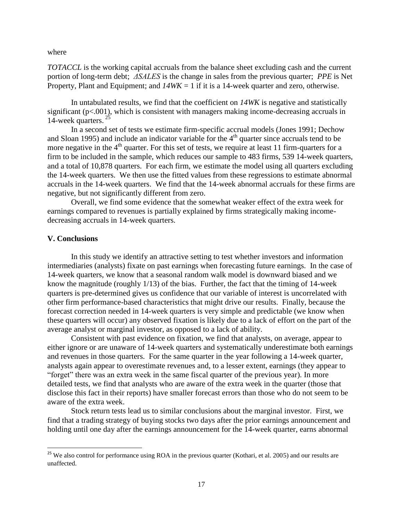where

*TOTACCL* is the working capital accruals from the balance sheet excluding cash and the current portion of long-term debt; *ΔSALES* is the change in sales from the previous quarter; *PPE* is Net Property, Plant and Equipment; and  $14WK = 1$  if it is a 14-week quarter and zero, otherwise.

In untabulated results, we find that the coefficient on *14WK* is negative and statistically significant (p<.001), which is consistent with managers making income-decreasing accruals in 14-week quarters. <sup>25</sup>

In a second set of tests we estimate firm-specific accrual models (Jones 1991; Dechow and Sloan 1995) and include an indicator variable for the  $4<sup>th</sup>$  quarter since accruals tend to be more negative in the  $4<sup>th</sup>$  quarter. For this set of tests, we require at least 11 firm-quarters for a firm to be included in the sample, which reduces our sample to 483 firms, 539 14-week quarters, and a total of 10,878 quarters. For each firm, we estimate the model using all quarters excluding the 14-week quarters. We then use the fitted values from these regressions to estimate abnormal accruals in the 14-week quarters. We find that the 14-week abnormal accruals for these firms are negative, but not significantly different from zero.

Overall, we find some evidence that the somewhat weaker effect of the extra week for earnings compared to revenues is partially explained by firms strategically making incomedecreasing accruals in 14-week quarters.

## **V. Conclusions**

l

In this study we identify an attractive setting to test whether investors and information intermediaries (analysts) fixate on past earnings when forecasting future earnings. In the case of 14-week quarters, we know that a seasonal random walk model is downward biased and we know the magnitude (roughly 1/13) of the bias. Further, the fact that the timing of 14-week quarters is pre-determined gives us confidence that our variable of interest is uncorrelated with other firm performance-based characteristics that might drive our results. Finally, because the forecast correction needed in 14-week quarters is very simple and predictable (we know when these quarters will occur) any observed fixation is likely due to a lack of effort on the part of the average analyst or marginal investor, as opposed to a lack of ability.

Consistent with past evidence on fixation, we find that analysts, on average, appear to either ignore or are unaware of 14-week quarters and systematically underestimate both earnings and revenues in those quarters. For the same quarter in the year following a 14-week quarter, analysts again appear to overestimate revenues and, to a lesser extent, earnings (they appear to "forget" there was an extra week in the same fiscal quarter of the previous year). In more detailed tests, we find that analysts who are aware of the extra week in the quarter (those that disclose this fact in their reports) have smaller forecast errors than those who do not seem to be aware of the extra week.

Stock return tests lead us to similar conclusions about the marginal investor. First, we find that a trading strategy of buying stocks two days after the prior earnings announcement and holding until one day after the earnings announcement for the 14-week quarter, earns abnormal

<sup>&</sup>lt;sup>25</sup> We also control for performance using ROA in the previous quarter (Kothari, et al. 2005) and our results are unaffected.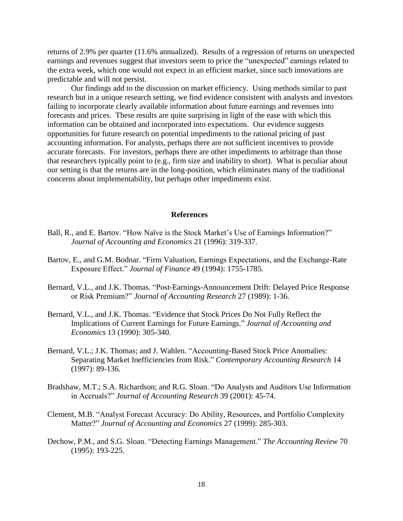returns of 2.9% per quarter (11.6% annualized). Results of a regression of returns on unexpected earnings and revenues suggest that investors seem to price the "unexpected" earnings related to the extra week, which one would not expect in an efficient market, since such innovations are predictable and will not persist.

Our findings add to the discussion on market efficiency. Using methods similar to past research but in a unique research setting, we find evidence consistent with analysts and investors failing to incorporate clearly available information about future earnings and revenues into forecasts and prices. These results are quite surprising in light of the ease with which this information can be obtained and incorporated into expectations. Our evidence suggests opportunities for future research on potential impediments to the rational pricing of past accounting information. For analysts, perhaps there are not sufficient incentives to provide accurate forecasts. For investors, perhaps there are other impediments to arbitrage than those that researchers typically point to (e.g., firm size and inability to short). What is peculiar about our setting is that the returns are in the long-position, which eliminates many of the traditional concerns about implementability, but perhaps other impediments exist.

### **References**

- Ball, R., and E. Bartov. "How Naïve is the Stock Market's Use of Earnings Information?" *Journal of Accounting and Economics* 21 (1996): 319-337.
- Bartov, E., and G.M. Bodnar. "Firm Valuation, Earnings Expectations, and the Exchange-Rate Exposure Effect." *Journal of Finance* 49 (1994): 1755-1785.
- Bernard, V.L., and J.K. Thomas. "Post-Earnings-Announcement Drift: Delayed Price Response or Risk Premium?" *Journal of Accounting Research* 27 (1989): 1-36.
- Bernard, V.L., and J.K. Thomas. "Evidence that Stock Prices Do Not Fully Reflect the Implications of Current Earnings for Future Earnings." *Journal of Accounting and Economics* 13 (1990): 305-340.
- Bernard, V.L.; J.K. Thomas; and J. Wahlen. "Accounting-Based Stock Price Anomalies: Separating Market Inefficiencies from Risk." *Contemporary Accounting Research* 14 (1997): 89-136.
- Bradshaw, M.T.; S.A. Richardson; and R.G. Sloan. "Do Analysts and Auditors Use Information in Accruals?" *Journal of Accounting Research* 39 (2001): 45-74.
- Clement, M.B. "Analyst Forecast Accuracy: Do Ability, Resources, and Portfolio Complexity Matter?" *Journal of Accounting and Economics* 27 (1999): 285-303.
- Dechow, P.M., and S.G. Sloan. "Detecting Earnings Management." *The Accounting Review* 70 (1995): 193-225.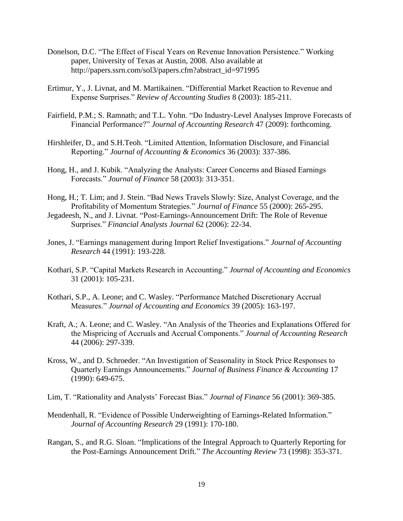- Donelson, D.C. "The Effect of Fiscal Years on Revenue Innovation Persistence." Working paper, University of Texas at Austin, 2008. Also available at http://papers.ssrn.com/sol3/papers.cfm?abstract\_id=971995
- Ertimur, Y., J. Livnat, and M. Martikainen. "Differential Market Reaction to Revenue and Expense Surprises." *Review of Accounting Studies* 8 (2003): 185-211.
- Fairfield, P.M.; S. Ramnath; and T.L. Yohn. "Do Industry-Level Analyses Improve Forecasts of Financial Performance?" *Journal of Accounting Research* 47 (2009): forthcoming.
- Hirshleifer, D., and S.H.Teoh. "Limited Attention, Information Disclosure, and Financial Reporting." *Journal of Accounting & Economics* 36 (2003): 337-386.
- Hong, H., and J. Kubik. "Analyzing the Analysts: Career Concerns and Biased Earnings Forecasts." *Journal of Finance* 58 (2003): 313-351.
- Hong, H.; T. Lim; and J. Stein. "Bad News Travels Slowly: Size, Analyst Coverage, and the Profitability of Momentum Strategies." *Journal of Finance* 55 (2000): 265-295.
- Jegadeesh, N., and J. Livnat. "Post-Earnings-Announcement Drift: The Role of Revenue Surprises." *Financial Analysts Journal* 62 (2006): 22-34.
- Jones, J. "Earnings management during Import Relief Investigations." *Journal of Accounting Research* 44 (1991): 193-228.
- Kothari, S.P. "Capital Markets Research in Accounting." *Journal of Accounting and Economics*  31 (2001): 105-231.
- Kothari, S.P., A. Leone; and C. Wasley. "Performance Matched Discretionary Accrual Measures." *Journal of Accounting and Economics* 39 (2005): 163-197.
- Kraft, A.; A. Leone; and C. Wasley. "An Analysis of the Theories and Explanations Offered for the Mispricing of Accruals and Accrual Components." *Journal of Accounting Research*  44 (2006): 297-339.
- Kross, W., and D. Schroeder. "An Investigation of Seasonality in Stock Price Responses to Quarterly Earnings Announcements." *Journal of Business Finance & Accounting* 17 (1990): 649-675.
- Lim, T. "Rationality and Analysts' Forecast Bias." *Journal of Finance* 56 (2001): 369-385.
- Mendenhall, R. "Evidence of Possible Underweighting of Earnings-Related Information." *Journal of Accounting Research* 29 (1991): 170-180.
- Rangan, S., and R.G. Sloan. "Implications of the Integral Approach to Quarterly Reporting for the Post-Earnings Announcement Drift." *The Accounting Review* 73 (1998): 353-371.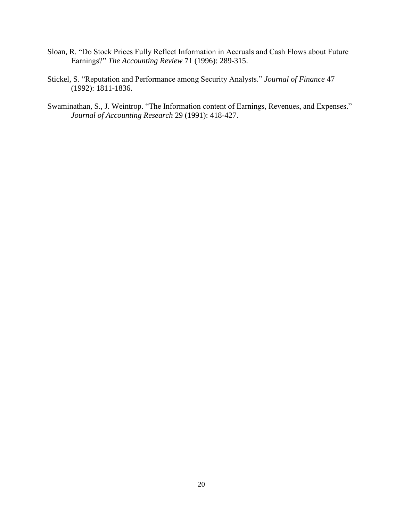- Sloan, R. "Do Stock Prices Fully Reflect Information in Accruals and Cash Flows about Future Earnings?" *The Accounting Review* 71 (1996): 289-315.
- Stickel, S. "Reputation and Performance among Security Analysts." *Journal of Finance* 47 (1992): 1811-1836.
- Swaminathan, S., J. Weintrop. "The Information content of Earnings, Revenues, and Expenses." *Journal of Accounting Research* 29 (1991): 418-427.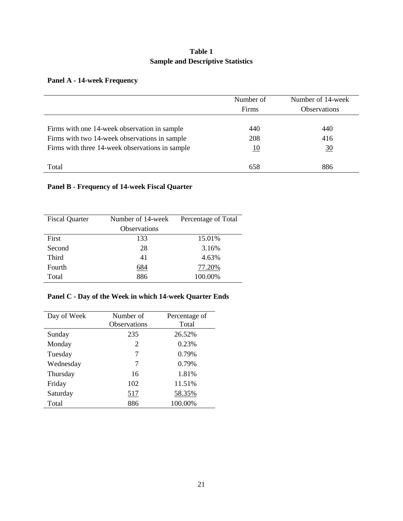# **Table 1 Sample and Descriptive Statistics**

# **Panel A - 14-week Frequency**

|                                                 | Number of<br>Firms | Number of 14-week<br><b>Observations</b> |
|-------------------------------------------------|--------------------|------------------------------------------|
| Firms with one 14-week observation in sample    | 440                | 440                                      |
| Firms with two 14-week observations in sample   | 208                | 416                                      |
| Firms with three 14-week observations in sample | <u> 10</u>         | $\frac{30}{5}$                           |
|                                                 |                    |                                          |
| Total                                           | 658                | 886                                      |

# **Panel B - Frequency of 14-week Fiscal Quarter**

| <b>Fiscal Quarter</b> | Number of 14-week | Percentage of Total |
|-----------------------|-------------------|---------------------|
|                       | Observations      |                     |
| First                 | 133               | 15.01%              |
| Second                | 28                | 3.16%               |
| <b>Third</b>          | 41                | 4.63%               |
| Fourth                | <u>684</u>        | 77.20%              |
| Total                 | 886               | 100.00%             |

# **Panel C - Day of the Week in which 14-week Quarter Ends**

| Day of Week | Number of<br><b>Observations</b> | Percentage of<br>Total |
|-------------|----------------------------------|------------------------|
| Sunday      | 235                              | 26.52%                 |
| Monday      | 2                                | 0.23%                  |
| Tuesday     | 7                                | 0.79%                  |
| Wednesday   | 7                                | 0.79%                  |
| Thursday    | 16                               | 1.81%                  |
| Friday      | 102                              | 11.51%                 |
| Saturday    | 517                              | 58.35%                 |
| Total       | 886                              | 100.00%                |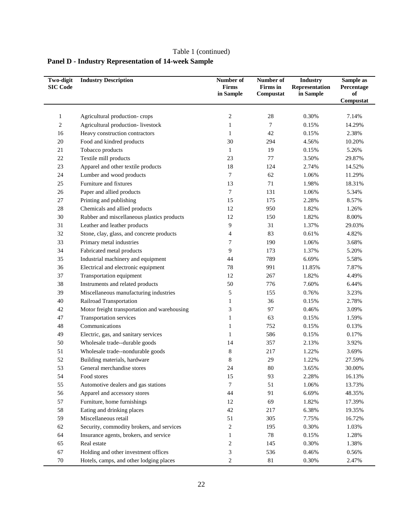# **Panel D - Industry Representation of 14-week Sample**

| <b>Two-digit</b><br><b>SIC Code</b> | <b>Industry Description</b>                  | Number of<br>Firms<br>in Sample | Number of<br>Firms in<br>Compustat | <b>Industry</b><br>Representation<br>in Sample | Sample as<br>Percentage<br>of |
|-------------------------------------|----------------------------------------------|---------------------------------|------------------------------------|------------------------------------------------|-------------------------------|
|                                     |                                              |                                 |                                    |                                                | Compustat                     |
|                                     |                                              |                                 | $28\,$                             | 0.30%                                          | 7.14%                         |
| 1                                   | Agricultural production-crops                | 2                               |                                    |                                                |                               |
| 2                                   | Agricultural production-livestock            | $\mathbf{1}$                    | 7                                  | 0.15%                                          | 14.29%                        |
| 16                                  | Heavy construction contractors               | $\mathbf{1}$                    | 42                                 | 0.15%                                          | 2.38%                         |
| $20\,$                              | Food and kindred products                    | 30                              | 294                                | 4.56%                                          | 10.20%                        |
| 21                                  | Tobacco products                             | $\mathbf{1}$                    | 19                                 | 0.15%                                          | 5.26%                         |
| $22\,$                              | Textile mill products                        | 23                              | 77                                 | 3.50%                                          | 29.87%                        |
| 23                                  | Apparel and other textile products           | $18\,$                          | 124                                | 2.74%                                          | 14.52%                        |
| 24                                  | Lumber and wood products                     | 7                               | 62                                 | 1.06%                                          | 11.29%                        |
| 25                                  | Furniture and fixtures                       | 13                              | 71                                 | 1.98%                                          | 18.31%                        |
| $26\,$                              | Paper and allied products                    | 7                               | 131                                | 1.06%                                          | 5.34%                         |
| 27                                  | Printing and publishing                      | 15                              | 175                                | 2.28%                                          | 8.57%                         |
| $28\,$                              | Chemicals and allied products                | 12                              | 950                                | 1.82%                                          | 1.26%                         |
| 30                                  | Rubber and miscellaneous plastics products   | 12                              | 150                                | 1.82%                                          | 8.00%                         |
| 31                                  | Leather and leather products                 | 9                               | 31                                 | 1.37%                                          | 29.03%                        |
| 32                                  | Stone, clay, glass, and concrete products    | 4                               | 83                                 | 0.61%                                          | 4.82%                         |
| 33                                  | Primary metal industries                     | 7                               | 190                                | 1.06%                                          | 3.68%                         |
| 34                                  | Fabricated metal products                    | 9                               | 173                                | 1.37%                                          | 5.20%                         |
| 35                                  | Industrial machinery and equipment           | 44                              | 789                                | 6.69%                                          | 5.58%                         |
| 36                                  | Electrical and electronic equipment          | 78                              | 991                                | 11.85%                                         | 7.87%                         |
| 37                                  | Transportation equipment                     | 12                              | 267                                | 1.82%                                          | 4.49%                         |
| 38                                  | Instruments and related products             | 50                              | 776                                | 7.60%                                          | 6.44%                         |
| 39                                  | Miscellaneous manufacturing industries       | 5                               | 155                                | 0.76%                                          | 3.23%                         |
| 40                                  | Railroad Transportation                      | $\mathbf{1}$                    | 36                                 | 0.15%                                          | 2.78%                         |
| 42                                  | Motor freight transportation and warehousing | 3                               | 97                                 | 0.46%                                          | 3.09%                         |
| 47                                  | Transportation services                      | $\mathbf{1}$                    | 63                                 | 0.15%                                          | 1.59%                         |
| $\sqrt{48}$                         | Communications                               | $\mathbf{1}$                    | 752                                | 0.15%                                          | 0.13%                         |
| 49                                  | Electric, gas, and sanitary services         | $\mathbf{1}$                    | 586                                | 0.15%                                          | 0.17%                         |
| 50                                  | Wholesale trade--durable goods               | 14                              | 357                                | 2.13%                                          | 3.92%                         |
| 51                                  | Wholesale trade--nondurable goods            | 8                               | 217                                | 1.22%                                          | 3.69%                         |
| 52                                  | Building materials, hardware                 | 8                               | 29                                 | 1.22%                                          | 27.59%                        |
| 53                                  | General merchandise stores                   | 24                              | $80\,$                             | 3.65%                                          | 30.00%                        |
| 54                                  | Food stores                                  | 15                              | 93                                 | 2.28%                                          | 16.13%                        |
| 55                                  | Automotive dealers and gas stations          | 7                               | 51                                 | 1.06%                                          | 13.73%                        |
| 56                                  | Apparel and accessory stores                 | 44                              | 91                                 | 6.69%                                          | 48.35%                        |
| 57                                  | Furniture, home furnishings                  | 12                              | 69                                 | 1.82%                                          | 17.39%                        |
| 58                                  | Eating and drinking places                   | $42\,$                          | 217                                | 6.38%                                          | 19.35%                        |
| 59                                  | Miscellaneous retail                         | 51                              | 305                                | 7.75%                                          | 16.72%                        |
| 62                                  | Security, commodity brokers, and services    | $\boldsymbol{2}$                | 195                                | 0.30%                                          | 1.03%                         |
| 64                                  | Insurance agents, brokers, and service       | $\mathbf{1}$                    | $78\,$                             | 0.15%                                          | 1.28%                         |
| 65                                  | Real estate                                  | $\overline{\mathbf{c}}$         | 145                                | 0.30%                                          | 1.38%                         |
| 67                                  | Holding and other investment offices         | 3                               | 536                                | 0.46%                                          | 0.56%                         |
| $70\,$                              | Hotels, camps, and other lodging places      | 2                               | $81\,$                             | 0.30%                                          | 2.47%                         |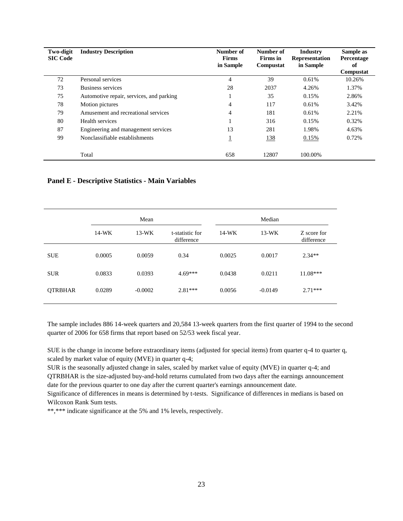| <b>Two-digit</b><br><b>SIC Code</b> | <b>Industry Description</b>              | Number of<br><b>Firms</b><br>in Sample | Number of<br>Firms in<br>Compustat | <b>Industry</b><br><b>Representation</b><br>in Sample | Sample as<br>Percentage<br>оf<br>Compustat |
|-------------------------------------|------------------------------------------|----------------------------------------|------------------------------------|-------------------------------------------------------|--------------------------------------------|
| 72                                  | Personal services                        | 4                                      | 39                                 | 0.61%                                                 | 10.26%                                     |
| 73                                  | Business services                        | 28                                     | 2037                               | 4.26%                                                 | 1.37%                                      |
| 75                                  | Automotive repair, services, and parking |                                        | 35                                 | 0.15%                                                 | 2.86%                                      |
| 78                                  | Motion pictures                          | $\overline{4}$                         | 117                                | 0.61%                                                 | 3.42%                                      |
| 79                                  | Amusement and recreational services      | $\overline{4}$                         | 181                                | 0.61%                                                 | 2.21%                                      |
| 80                                  | Health services                          |                                        | 316                                | 0.15%                                                 | 0.32%                                      |
| 87                                  | Engineering and management services      | 13                                     | 281                                | 1.98%                                                 | 4.63%                                      |
| 99                                  | Nonclassifiable establishments           |                                        | <u>138</u>                         | 0.15%                                                 | 0.72%                                      |
|                                     | Total                                    | 658                                    | 12807                              | 100.00%                                               |                                            |

### **Panel E - Descriptive Statistics - Main Variables**

|                | Mean    |           |                               |         |           |                           |
|----------------|---------|-----------|-------------------------------|---------|-----------|---------------------------|
|                | $14-WK$ | $13-WK$   | t-statistic for<br>difference | $14-WK$ | $13-WK$   | Z score for<br>difference |
| <b>SUE</b>     | 0.0005  | 0.0059    | 0.34                          | 0.0025  | 0.0017    | $2.34**$                  |
| <b>SUR</b>     | 0.0833  | 0.0393    | $4.69***$                     | 0.0438  | 0.0211    | $11.08***$                |
| <b>QTRBHAR</b> | 0.0289  | $-0.0002$ | $2.81***$                     | 0.0056  | $-0.0149$ | $2.71***$                 |

The sample includes 886 14-week quarters and 20,584 13-week quarters from the first quarter of 1994 to the second quarter of 2006 for 658 firms that report based on 52/53 week fiscal year.

SUE is the change in income before extraordinary items (adjusted for special items) from quarter q-4 to quarter q, scaled by market value of equity (MVE) in quarter q-4;

SUR is the seasonally adjusted change in sales, scaled by market value of equity (MVE) in quarter q-4; and QTRBHAR is the size-adjusted buy-and-hold returns cumulated from two days after the earnings announcement date for the previous quarter to one day after the current quarter's earnings announcement date.

Significance of differences in means is determined by t-tests. Significance of differences in medians is based on Wilcoxon Rank Sum tests.

\*\*,\*\*\* indicate significance at the 5% and 1% levels, respectively.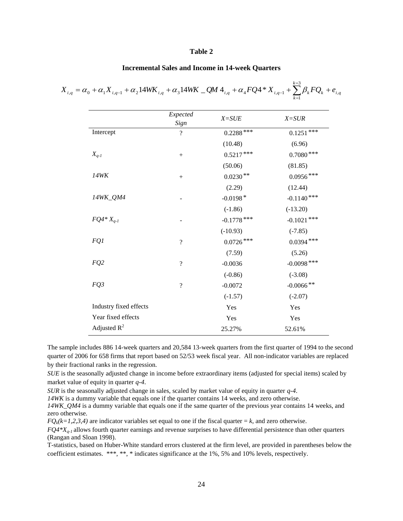### **Table 2**

### **Incremental Sales and Income in 14-week Quarters**

*i q*

|                        | Expected<br>Sign         | $X = SUE$     | $X = SUR$     |
|------------------------|--------------------------|---------------|---------------|
| Intercept              | $\overline{\mathcal{L}}$ | $0.2288$ ***  | $0.1251***$   |
|                        |                          | (10.48)       | (6.96)        |
| $X_{q-1}$              | $\boldsymbol{+}$         | $0.5217***$   | $0.7080***$   |
|                        |                          | (50.06)       | (81.85)       |
| <b>14WK</b>            | $\boldsymbol{+}$         | $0.0230**$    | $0.0956***$   |
|                        |                          | (2.29)        | (12.44)       |
| 14WK_QM4               |                          | $-0.0198*$    | $-0.1140$ *** |
|                        |                          | $(-1.86)$     | $(-13.20)$    |
| $FQ4*X_{q-1}$          |                          | $-0.1778$ *** | $-0.1021$ *** |
|                        |                          | $(-10.93)$    | $(-7.85)$     |
| FQ1                    | ?                        | $0.0726***$   | $0.0394***$   |
|                        |                          | (7.59)        | (5.26)        |
| FQ2                    | $\overline{\mathcal{L}}$ | $-0.0036$     | $-0.0098$ *** |
|                        |                          | $(-0.86)$     | $(-3.08)$     |
| FQ3                    | ?                        | $-0.0072$     | $-0.0066$ **  |
|                        |                          | $(-1.57)$     | $(-2.07)$     |
| Industry fixed effects |                          | Yes           | Yes           |
| Year fixed effects     |                          | Yes           | Yes           |
| Adjusted $R^2$         |                          | 25.27%        | 52.61%        |

The sample includes 886 14-week quarters and 20,584 13-week quarters from the first quarter of 1994 to the second quarter of 2006 for 658 firms that report based on 52/53 week fiscal year. All non-indicator variables are replaced by their fractional ranks in the regression.

*SUE* is the seasonally adjusted change in income before extraordinary items (adjusted for special items) scaled by market value of equity in quarter *q-4*.

*SUR* is the seasonally adjusted change in sales, scaled by market value of equity in quarter *q-4*.

*14WK* is a dummy variable that equals one if the quarter contains 14 weeks, and zero otherwise.

*14WK\_QM4* is a dummy variable that equals one if the same quarter of the previous year contains 14 weeks, and zero otherwise.

 $FQ_k(k=1,2,3,4)$  are indicator variables set equal to one if the fiscal quarter  $=k$ , and zero otherwise.

*FQ4\*Xq-1* allows fourth quarter earnings and revenue surprises to have differential persistence than other quarters (Rangan and Sloan 1998).

T-statistics, based on Huber-White standard errors clustered at the firm level, are provided in parentheses below the coefficient estimates. \*\*\*, \*\*, \* indicates significance at the 1%, 5% and 10% levels, respectively.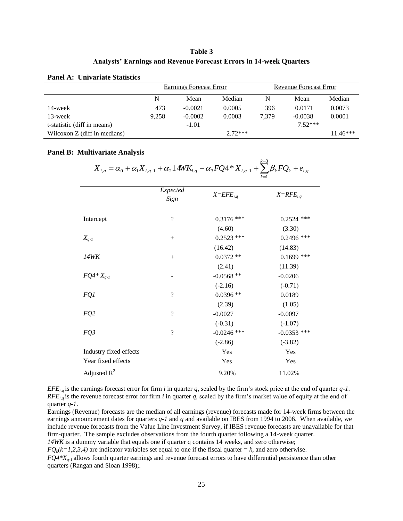## **Table 3 Analysts' Earnings and Revenue Forecast Errors in 14-week Quarters**

|                              | Earnings Forecast Error |           |        | Revenue Forecast Error |           |            |
|------------------------------|-------------------------|-----------|--------|------------------------|-----------|------------|
|                              | N                       | Mean      | Median | N                      | Mean      | Median     |
| 14-week                      | 473                     | $-0.0021$ | 0.0005 | 396                    | 0.0171    | 0.0073     |
| 13-week                      | 9.258                   | $-0.0002$ | 0.0003 | 7.379                  | $-0.0038$ | 0.0001     |
| t-statistic (diff in means)  | $-1.01$                 |           |        |                        | $7.52***$ |            |
| Wilcoxon Z (diff in medians) | $2.72***$               |           |        |                        |           | $11.46***$ |

### **Panel A: Univariate Statistics**

### **Panel B: Multivariate Analysis**

|                        |                          | $X_{i,q} = \alpha_0 + \alpha_1 X_{i,q-1} + \alpha_2 14W K_{i,q} + \alpha_3 FQ4*X_{i,q-1} + \sum \beta_k FQ_k + e_{i,q}$ |               |
|------------------------|--------------------------|-------------------------------------------------------------------------------------------------------------------------|---------------|
|                        | Expected<br>Sign         | $X= EFE_{i,q}$                                                                                                          | $X=RFE_{i,q}$ |
| Intercept              | $\overline{\mathcal{L}}$ | $0.3176$ ***                                                                                                            | $0.2524$ ***  |
|                        |                          | (4.60)                                                                                                                  | (3.30)        |
| $X_{q-1}$              | $^{+}$                   | $0.2523$ ***                                                                                                            | $0.2496$ ***  |
|                        |                          | (16.42)                                                                                                                 | (14.83)       |
| 14WK                   | $^{+}$                   | $0.0372**$                                                                                                              | $0.1699$ ***  |
|                        |                          | (2.41)                                                                                                                  | (11.39)       |
| $FQ4^*X_{q-1}$         |                          | $-0.0568**$                                                                                                             | $-0.0206$     |
|                        |                          | $(-2.16)$                                                                                                               | $(-0.71)$     |
| FQ1                    | $\gamma$                 | $0.0396**$                                                                                                              | 0.0189        |
|                        |                          | (2.39)                                                                                                                  | (1.05)        |
| FQ <sub>2</sub>        | $\overline{\mathcal{L}}$ | $-0.0027$                                                                                                               | $-0.0097$     |
|                        |                          | $(-0.31)$                                                                                                               | $(-1.07)$     |
| FQ3                    | $\gamma$                 | $-0.0246$ ***                                                                                                           | $-0.0353$ *** |
|                        |                          | $(-2.86)$                                                                                                               | $(-3.82)$     |
| Industry fixed effects |                          | Yes                                                                                                                     | Yes           |
| Year fixed effects     |                          | Yes                                                                                                                     | Yes           |
| Adjusted $R^2$         |                          | 9.20%                                                                                                                   | 11.02%        |

*k* 3  $14WK_{i}$ 

*EFEi,q* is the earnings forecast error for firm *i* in quarter *q*, scaled by the firm's stock price at the end of quarter *q-1*. *RFEi,q* is the revenue forecast error for firm *i* in quarter *q*, scaled by the firm's market value of equity at the end of quarter *q-1*.

Earnings (Revenue) forecasts are the median of all earnings (revenue) forecasts made for 14-week firms between the earnings announcement dates for quarters *q-1* and *q* and available on IBES from 1994 to 2006. When available, we include revenue forecasts from the Value Line Investment Survey, if IBES revenue forecasts are unavailable for that firm-quarter. The sample excludes observations from the fourth quarter following a 14-week quarter. *14WK* is a dummy variable that equals one if quarter q contains 14 weeks, and zero otherwise;

 $FQ_k(k=1,2,3,4)$  are indicator variables set equal to one if the fiscal quarter  $=k$ , and zero otherwise.

*FQ4\*Xq-1* allows fourth quarter earnings and revenue forecast errors to have differential persistence than other quarters (Rangan and Sloan 1998);.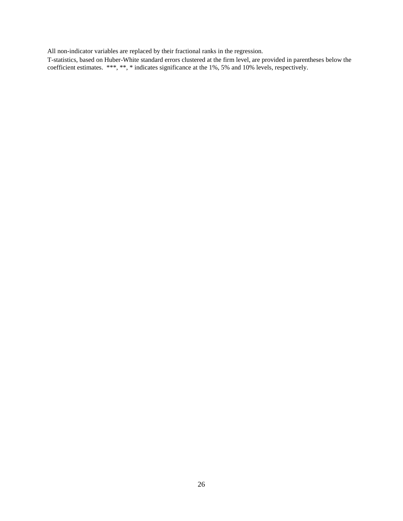All non-indicator variables are replaced by their fractional ranks in the regression.

T-statistics, based on Huber-White standard errors clustered at the firm level, are provided in parentheses below the coefficient estimates. \*\*\*, \*\*, \* indicates significance at the 1%, 5% and 10% levels, respectively.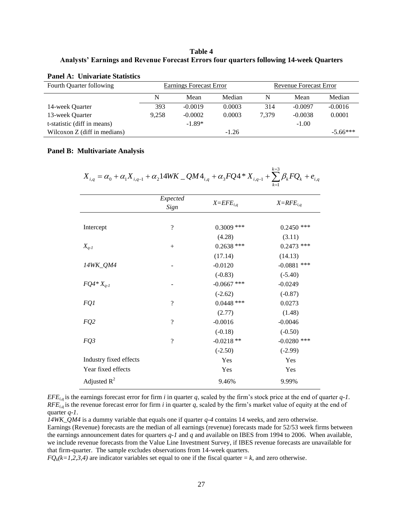## **Table 4 Analysts' Earnings and Revenue Forecast Errors four quarters following 14-week Quarters**

### **Panel A: Univariate Statistics**

| Fourth Quarter following     | <b>Earnings Forecast Error</b> |           |         | Revenue Forecast Error |           |            |
|------------------------------|--------------------------------|-----------|---------|------------------------|-----------|------------|
|                              | N                              | Mean      | Median  | N                      | Mean      | Median     |
| 14-week Ouarter              | 393                            | $-0.0019$ | 0.0003  | 314                    | $-0.0097$ | $-0.0016$  |
| 13-week Quarter              | 9.258                          | $-0.0002$ | 0.0003  | 7.379                  | $-0.0038$ | 0.0001     |
| t-statistic (diff in means)  |                                | $-1.89*$  |         |                        | $-1.00$   |            |
| Wilcoxon Z (diff in medians) |                                |           | $-1.26$ |                        |           | $-5.66***$ |

### **Panel B: Multivariate Analysis**

*i q k k*  $X_{i,q} = \alpha_0 + \alpha_1 X_{i,q-1} + \alpha_2 14WK \_QM4_{i,q} + \alpha_3 FQ4 * X_{i,q-1} + \sum_{k=3}^{k=3} \beta_k FQ_k + e_{i,q}$  $\mathcal{L}_{a,q} = \alpha_0 + \alpha_1 X_{i,q-1} + \alpha_2 14 W K \_Q M 4_{i,q} + \alpha_3 F Q 4 * X_{i,q-1} + \sum_{k=1}^{k=3} \beta_k F Q_k + \cdots$ =  $\alpha_0 + \alpha_1 X_{i,q-1} + \alpha_2 14 W K \_Q M 4_{i,q} + \alpha_3 F Q 4 * X_{i,q-1} + \sum \beta_i$ 

|                        | Expected<br>Sign | $X= EFE_{i,q}$ | $X=RFE_{i,q}$ |
|------------------------|------------------|----------------|---------------|
|                        |                  |                |               |
| Intercept              | $\gamma$         | $0.3009$ ***   | $0.2450$ ***  |
|                        |                  | (4.28)         | (3.11)        |
| $X_{q-1}$              | $+$              | $0.2638$ ***   | $0.2473$ ***  |
|                        |                  | (17.14)        | (14.13)       |
| 14WK_QM4               |                  | $-0.0120$      | $-0.0881$ *** |
|                        |                  | $(-0.83)$      | $(-5.40)$     |
| $FQ4*X_{q-1}$          |                  | $-0.0667$ ***  | $-0.0249$     |
|                        |                  | $(-2.62)$      | $(-0.87)$     |
| FQ1                    | $\gamma$         | $0.0448$ ***   | 0.0273        |
|                        |                  | (2.77)         | (1.48)        |
| FQ <sub>2</sub>        | $\gamma$         | $-0.0016$      | $-0.0046$     |
|                        |                  | $(-0.18)$      | $(-0.50)$     |
| FQ3                    | $\gamma$         | $-0.0218**$    | $-0.0280$ *** |
|                        |                  | $(-2.50)$      | $(-2.99)$     |
| Industry fixed effects |                  | Yes            | Yes           |
| Year fixed effects     |                  | Yes            | Yes           |
| Adjusted $R^2$         |                  | 9.46%          | 9.99%         |

*EFEi,q* is the earnings forecast error for firm *i* in quarter *q*, scaled by the firm's stock price at the end of quarter *q-1*.  $RFE_{i,q}$  is the revenue forecast error for firm *i* in quarter *q*, scaled by the firm's market value of equity at the end of quarter *q-1*.

*14WK\_QM4* is a dummy variable that equals one if quarter *q-4* contains 14 weeks, and zero otherwise.

Earnings (Revenue) forecasts are the median of all earnings (revenue) forecasts made for 52/53 week firms between the earnings announcement dates for quarters *q-1* and *q* and available on IBES from 1994 to 2006. When available, we include revenue forecasts from the Value Line Investment Survey, if IBES revenue forecasts are unavailable for that firm-quarter. The sample excludes observations from 14-week quarters.

 $FQ_k(k=1,2,3,4)$  are indicator variables set equal to one if the fiscal quarter  $=k$ , and zero otherwise.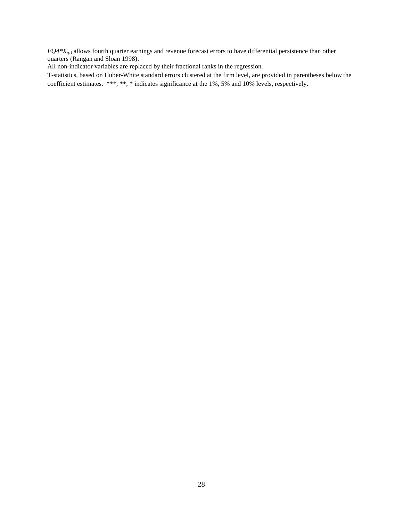*FQ4\*Xq-1* allows fourth quarter earnings and revenue forecast errors to have differential persistence than other quarters (Rangan and Sloan 1998).

All non-indicator variables are replaced by their fractional ranks in the regression.

T-statistics, based on Huber-White standard errors clustered at the firm level, are provided in parentheses below the coefficient estimates. \*\*\*, \*\*, \* indicates significance at the 1%, 5% and 10% levels, respectively.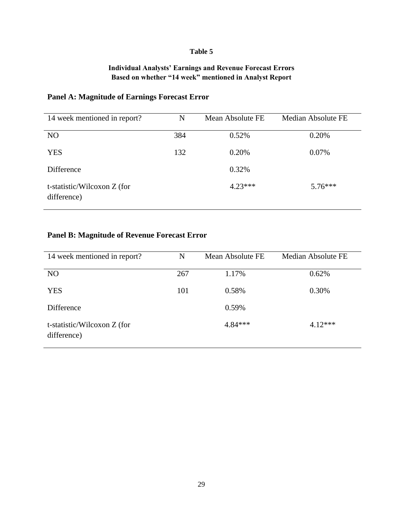## **Table 5**

# **Individual Analysts' Earnings and Revenue Forecast Errors Based on whether "14 week" mentioned in Analyst Report**

# **Panel A: Magnitude of Earnings Forecast Error**

| 14 week mentioned in report?               | N   | Mean Absolute FE | <b>Median Absolute FE</b> |
|--------------------------------------------|-----|------------------|---------------------------|
| N <sub>O</sub>                             | 384 | 0.52%            | 0.20%                     |
| <b>YES</b>                                 | 132 | 0.20%            | 0.07%                     |
| Difference                                 |     | 0.32%            |                           |
| t-statistic/Wilcoxon Z (for<br>difference) |     | $4.23***$        | $5.76***$                 |

# **Panel B: Magnitude of Revenue Forecast Error**

| 14 week mentioned in report?               | N   | Mean Absolute FE | Median Absolute FE |
|--------------------------------------------|-----|------------------|--------------------|
| N <sub>O</sub>                             | 267 | 1.17%            | 0.62%              |
| <b>YES</b>                                 | 101 | 0.58%            | 0.30%              |
| Difference                                 |     | 0.59%            |                    |
| t-statistic/Wilcoxon Z (for<br>difference) |     | $4.84***$        | $4.12***$          |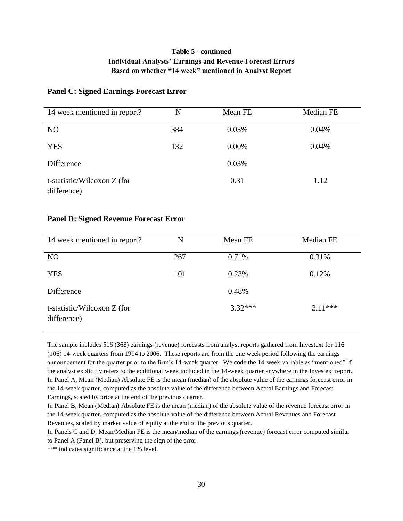# **Table 5 - continued Individual Analysts' Earnings and Revenue Forecast Errors Based on whether "14 week" mentioned in Analyst Report**

## **Panel C: Signed Earnings Forecast Error**

| 14 week mentioned in report?               | N   | Mean FE  | Median FE |
|--------------------------------------------|-----|----------|-----------|
| N <sub>O</sub>                             | 384 | 0.03%    | 0.04%     |
| <b>YES</b>                                 | 132 | $0.00\%$ | 0.04%     |
| Difference                                 |     | 0.03%    |           |
| t-statistic/Wilcoxon Z (for<br>difference) |     | 0.31     | 1.12      |

## **Panel D: Signed Revenue Forecast Error**

| 14 week mentioned in report?               | N   | Mean FE   | Median FE |
|--------------------------------------------|-----|-----------|-----------|
| N <sub>O</sub>                             | 267 | 0.71%     | 0.31%     |
| <b>YES</b>                                 | 101 | 0.23%     | 0.12%     |
| Difference                                 |     | 0.48%     |           |
| t-statistic/Wilcoxon Z (for<br>difference) |     | $3.32***$ | $3.11***$ |

The sample includes 516 (368) earnings (revenue) forecasts from analyst reports gathered from Investext for 116 (106) 14-week quarters from 1994 to 2006. These reports are from the one week period following the earnings announcement for the quarter prior to the firm's 14-week quarter. We code the 14-week variable as "mentioned" if the analyst explicitly refers to the additional week included in the 14-week quarter anywhere in the Investext report. In Panel A, Mean (Median) Absolute FE is the mean (median) of the absolute value of the earnings forecast error in the 14-week quarter, computed as the absolute value of the difference between Actual Earnings and Forecast Earnings, scaled by price at the end of the previous quarter.

In Panel B, Mean (Median) Absolute FE is the mean (median) of the absolute value of the revenue forecast error in the 14-week quarter, computed as the absolute value of the difference between Actual Revenues and Forecast Revenues, scaled by market value of equity at the end of the previous quarter.

In Panels C and D, Mean/Median FE is the mean/median of the earnings (revenue) forecast error computed similar to Panel A (Panel B), but preserving the sign of the error.

\*\*\* indicates significance at the 1% level.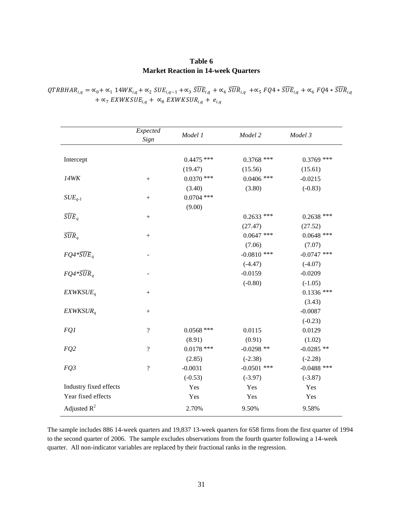## **Table 6 Market Reaction in 14-week Quarters**

|                        | Expected<br>Sign         | Model 1      | Model 2       | Model 3       |
|------------------------|--------------------------|--------------|---------------|---------------|
| Intercept              |                          | $0.4475$ *** | $0.3768$ ***  | $0.3769$ ***  |
|                        |                          | (19.47)      | (15.56)       | (15.61)       |
| 14WK                   | $+$                      | $0.0370$ *** | $0.0406$ ***  | $-0.0215$     |
|                        |                          | (3.40)       | (3.80)        | $(-0.83)$     |
| $SUE_{q-1}$            | $^{+}$                   | $0.0704$ *** |               |               |
|                        |                          | (9.00)       |               |               |
| $\widehat{SUE}_q$      |                          |              | $0.2633$ ***  | $0.2638$ ***  |
|                        |                          |              | (27.47)       | (27.52)       |
| $\widehat{SUR}_a$      |                          |              | $0.0647$ ***  | $0.0648$ ***  |
|                        |                          |              | (7.06)        | (7.07)        |
| $FQ4*\widehat{SUE}_q$  |                          |              | $-0.0810$ *** | $-0.0747$ *** |
|                        |                          |              | $(-4.47)$     | $(-4.07)$     |
| $FQ4*\widehat{SUR}_a$  |                          |              | $-0.0159$     | $-0.0209$     |
|                        |                          |              | $(-0.80)$     | $(-1.05)$     |
| EXWKSUE <sub>a</sub>   |                          |              |               | $0.1336$ ***  |
|                        |                          |              |               | (3.43)        |
| $EXWKSUR_a$            | $+$                      |              |               | $-0.0087$     |
|                        |                          |              |               | $(-0.23)$     |
| FQ1                    | $\overline{\mathcal{L}}$ | $0.0568$ *** | 0.0115        | 0.0129        |
|                        |                          | (8.91)       | (0.91)        | (1.02)        |
| FQ <sub>2</sub>        | $\overline{\mathcal{L}}$ | $0.0178$ *** | $-0.0298$ **  | $-0.0285$ **  |
|                        |                          | (2.85)       | $(-2.38)$     | $(-2.28)$     |
| FQ3                    | $\overline{?}$           | $-0.0031$    | $-0.0501$ *** | $-0.0488$ *** |
|                        |                          | $(-0.53)$    | $(-3.97)$     | $(-3.87)$     |
| Industry fixed effects |                          | Yes          | Yes           | Yes           |
| Year fixed effects     |                          | Yes          | Yes           | Yes           |
| Adjusted $R^2$         |                          | 2.70%        | 9.50%         | 9.58%         |

 $QTRBHAR_{i,q} = \alpha_0 + \alpha_1 14WK_{i,q} + \alpha_2 SUE_{i,q-1} + \alpha_3 \widetilde{SUE}_{i,q} + \alpha_4 \widetilde{SUR}_{i,q} + \alpha_5 FQA * \widetilde{SUE}_{i,q} + \alpha_6 FQA * \widetilde{SUR}_{i,q}$  $+ \propto$ <sub>7</sub> EXWKSUE<sub>i,q</sub> +  $\propto$ <sub>8</sub> EXWKSUR<sub>i,q</sub> +  $e$ <sub>i,q</sub>

The sample includes 886 14-week quarters and 19,837 13-week quarters for 658 firms from the first quarter of 1994 to the second quarter of 2006. The sample excludes observations from the fourth quarter following a 14-week quarter. All non-indicator variables are replaced by their fractional ranks in the regression.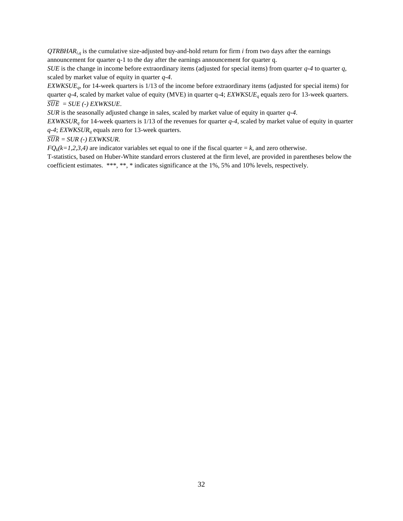$QTRBHAR<sub>i,d</sub>$  is the cumulative size-adjusted buy-and-hold return for firm *i* from two days after the earnings announcement for quarter q-1 to the day after the earnings announcement for quarter q.

*SUE* is the change in income before extraordinary items (adjusted for special items) from quarter *q-4* to quarter *q*, scaled by market value of equity in quarter *q-4*.

*EXWKSUEq*, for 14-week quarters is 1/13 of the income before extraordinary items (adjusted for special items) for quarter *q-4*, scaled by market value of equity (MVE) in quarter q-4; *EXWKSUE<sup>q</sup>* equals zero for 13-week quarters.  $\widehat{SUE} = SUE$  (-) EXWKSUE.

*SUR* is the seasonally adjusted change in sales, scaled by market value of equity in quarter *q-4*.

*EXWKSUR<sup>q</sup>* for 14-week quarters is 1/13 of the revenues for quarter *q-4*, scaled by market value of equity in quarter *q-4*; *EXWKSUR<sup>q</sup>* equals zero for 13-week quarters.

 $\widehat{SUR} = SUR$  (-) EXWKSUR.

 $FQ_k(k=1,2,3,4)$  are indicator variables set equal to one if the fiscal quarter = *k*, and zero otherwise.

T-statistics, based on Huber-White standard errors clustered at the firm level, are provided in parentheses below the coefficient estimates. \*\*\*, \*\*, \* indicates significance at the 1%, 5% and 10% levels, respectively.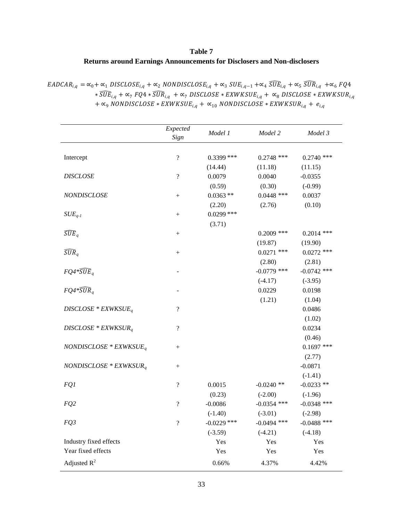# **Table 7 Returns around Earnings Announcements for Disclosers and Non-disclosers**

| $EADCAR_{i,q} = \alpha_0 + \alpha_1 DISCLOSE_{i,q} + \alpha_2 NONDISCLOSE_{i,q} + \alpha_3 SUE_{i,q-1} + \alpha_4 \widetilde{SUE}_{i,q} + \alpha_5 \widetilde{SUR}_{i,q} + \alpha_6 FQA$ |
|------------------------------------------------------------------------------------------------------------------------------------------------------------------------------------------|
| $*SUE_{i.a} + \alpha_7 FQ4 * \overline{SUR}_{i.a} + \alpha_7 DISCLOSE * EXWKSUE_{i.a} + \alpha_8 DISCLOSE * EXWKSUR_{i.a}$                                                               |
| $+\infty$ <sub>9</sub> NONDISCLOSE * EXWKSUE <sub>i.a</sub> + $\infty$ <sub>10</sub> NONDISCLOSE * EXWKSUR <sub>i.a</sub> + $e_{i,q}$                                                    |

|                           | Expected                 |               |               |               |
|---------------------------|--------------------------|---------------|---------------|---------------|
|                           | Sign                     | Model 1       | Model 2       | Model 3       |
|                           |                          |               |               |               |
| Intercept                 | $\overline{\mathcal{L}}$ | $0.3399$ ***  | $0.2748$ ***  | $0.2740$ ***  |
|                           |                          | (14.44)       | (11.18)       | (11.15)       |
| <b>DISCLOSE</b>           | $\overline{?}$           | 0.0079        | 0.0040        | $-0.0355$     |
|                           |                          | (0.59)        | (0.30)        | $(-0.99)$     |
| <b>NONDISCLOSE</b>        | $\! + \!\!\!\!$          | $0.0363**$    | $0.0448$ ***  | 0.0037        |
|                           |                          | (2.20)        | (2.76)        | (0.10)        |
| $SUE_{q-1}$               | $\boldsymbol{+}$         | $0.0299$ ***  |               |               |
|                           |                          | (3.71)        |               |               |
| $\widehat{SUE}_q$         | $\! + \!\!\!\!$          |               | $0.2009$ ***  | $0.2014$ ***  |
|                           |                          |               | (19.87)       | (19.90)       |
| $\widehat{SUR}_q$         | $\! + \!\!\!\!$          |               | $0.0271$ ***  | $0.0272$ ***  |
|                           |                          |               | (2.80)        | (2.81)        |
| $FQ4*\widehat{SUE}_a$     |                          |               | $-0.0779$ *** | $-0.0742$ *** |
|                           |                          |               | $(-4.17)$     | $(-3.95)$     |
| $FQ4*\widehat{SUR}_a$     |                          |               | 0.0229        | 0.0198        |
|                           |                          |               | (1.21)        | (1.04)        |
| $DISCLOSE * EXWKSUEq$     | $\overline{\mathcal{L}}$ |               |               | 0.0486        |
|                           |                          |               |               | (1.02)        |
| $DISCLOSE * EXWKSUR_q$    | $\overline{\mathcal{L}}$ |               |               | 0.0234        |
|                           |                          |               |               | (0.46)        |
| NONDISCLOSE * $EXWKSUE_q$ | $\! + \!\!\!\!$          |               |               | $0.1697$ ***  |
|                           |                          |               |               | (2.77)        |
| $NONDISCLOSE * EXWKSUR_q$ |                          |               |               | $-0.0871$     |
|                           |                          |               |               | $(-1.41)$     |
| FQ1                       | $\overline{\mathcal{L}}$ | 0.0015        | $-0.0240$ **  | $-0.0233$ **  |
|                           |                          | (0.23)        | $(-2.00)$     | $(-1.96)$     |
| FQ <sub>2</sub>           | $\overline{\mathcal{L}}$ | $-0.0086$     | $-0.0354$ *** | $-0.0348$ *** |
|                           |                          | $(-1.40)$     | $(-3.01)$     | $(-2.98)$     |
| FQ3                       | $\overline{\mathcal{L}}$ | $-0.0229$ *** | $-0.0494$ *** | $-0.0488$ *** |
|                           |                          | $(-3.59)$     | $(-4.21)$     | $(-4.18)$     |
| Industry fixed effects    |                          | Yes           | Yes           | Yes           |
| Year fixed effects        |                          | Yes           | Yes           | Yes           |
| Adjusted $R^2$            |                          | 0.66%         | 4.37%         | 4.42%         |